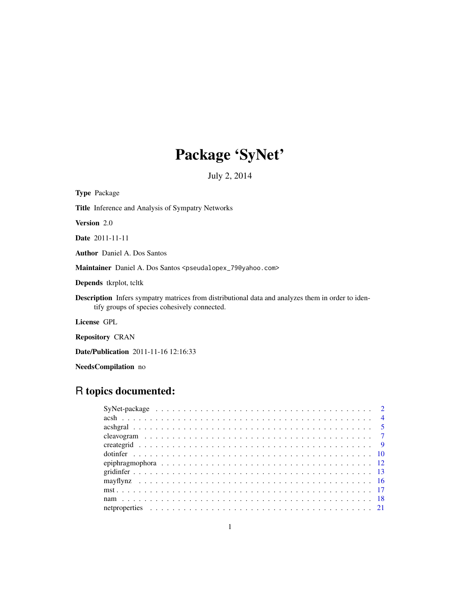# Package 'SyNet'

July 2, 2014

<span id="page-0-0"></span>

| <b>Type</b> Package                                                                                                                                      |
|----------------------------------------------------------------------------------------------------------------------------------------------------------|
| <b>Title</b> Inference and Analysis of Sympatry Networks                                                                                                 |
| <b>Version</b> 2.0                                                                                                                                       |
| <b>Date</b> 2011-11-11                                                                                                                                   |
| <b>Author</b> Daniel A. Dos Santos                                                                                                                       |
| Maintainer Daniel A. Dos Santos <pseudalopex_79@yahoo.com></pseudalopex_79@yahoo.com>                                                                    |
| <b>Depends</b> tkrplot, teltk                                                                                                                            |
| <b>Description</b> Infers sympatry matrices from distributional data and analyzes them in order to iden-<br>tify groups of species cohesively connected. |
| License GPL                                                                                                                                              |

Repository CRAN

Date/Publication 2011-11-16 12:16:33

NeedsCompilation no

# R topics documented: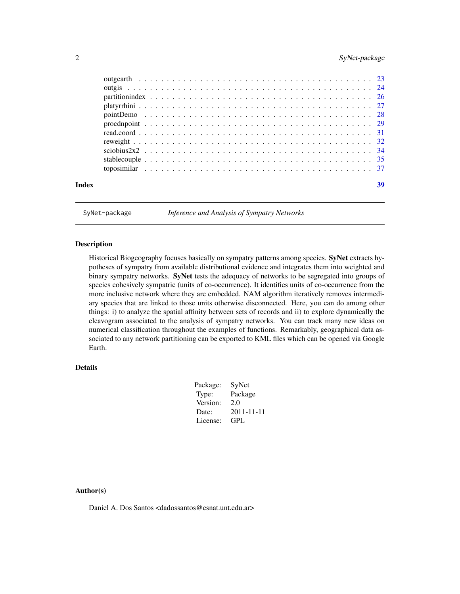## <span id="page-1-0"></span>2 SyNet-package

| Index | 39 |
|-------|----|
|       |    |

SyNet-package *Inference and Analysis of Sympatry Networks*

## Description

Historical Biogeography focuses basically on sympatry patterns among species. SyNet extracts hypotheses of sympatry from available distributional evidence and integrates them into weighted and binary sympatry networks. SyNet tests the adequacy of networks to be segregated into groups of species cohesively sympatric (units of co-occurrence). It identifies units of co-occurrence from the more inclusive network where they are embedded. NAM algorithm iteratively removes intermediary species that are linked to those units otherwise disconnected. Here, you can do among other things: i) to analyze the spatial affinity between sets of records and ii) to explore dynamically the cleavogram associated to the analysis of sympatry networks. You can track many new ideas on numerical classification throughout the examples of functions. Remarkably, geographical data associated to any network partitioning can be exported to KML files which can be opened via Google Earth.

## Details

| Package: | SyNet            |
|----------|------------------|
| Type:    | Package          |
| Version: | 2.0              |
| Date:    | $2011 - 11 - 11$ |
| License: | GPL              |
|          |                  |

## Author(s)

Daniel A. Dos Santos <dadossantos@csnat.unt.edu.ar>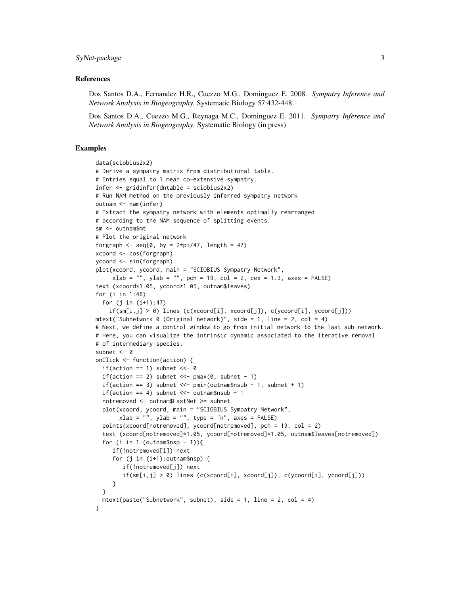## SyNet-package 3

## References

Dos Santos D.A., Fernandez H.R., Cuezzo M.G., Dominguez E. 2008. *Sympatry Inference and Network Analysis in Biogeography.* Systematic Biology 57:432-448.

Dos Santos D.A., Cuezzo M.G., Reynaga M.C., Dominguez E. 2011. *Sympatry Inference and Network Analysis in Biogeography*. Systematic Biology (in press)

```
data(sciobius2x2)
# Derive a sympatry matrix from distributional table.
# Entries equal to 1 mean co-extensive sympatry.
infer <- gridinfer(dntable = sciobius2x2)
# Run NAM method on the previously inferred sympatry network
outnam <- nam(infer)
# Extract the sympatry network with elements optimally rearranged
# according to the NAM sequence of splitting events.
sm <- outnam$mt
# Plot the original network
forgraph \leq seq(0, by = 2*pi/47, length = 47)
xcoord <- cos(forgraph)
ycoord <- sin(forgraph)
plot(xcoord, ycoord, main = "SCIOBIUS Sympatry Network",
     xlab = "", ylab = "", pch = 19, col = 2, cex = 1.3, axes = FALSE)
text (xcoord*1.05, ycoord*1.05, outnam$leaves)
for (i in 1:46)
  for (j in (i+1):47)
    if(sm[i,j] > 0) lines (c(xcoord[i], xcoord[j]), c(ycoord[i], ycoord[i]))mtext("Subnetwork 0 (Original network)", side = 1, line = 2, col = 4)
# Next, we define a control window to go from initial network to the last sub-network.
# Here, you can visualize the intrinsic dynamic associated to the iterative removal
# of intermediary species.
subnet <-0onClick <- function(action) {
  if(action == 1) subnet <<- 0
  if(action == 2) subnet <<- pma(0, \text{ subnet} - 1)if(action == 3) subnet <<- pmi (outnam$nsub - 1, subnet + 1)
  if(action == 4) subnet <<- outnam$nsub - 1
  notremoved <- outnam$LastNet >= subnet
  plot(xcoord, ycoord, main = "SCIOBIUS Sympatry Network",
       xlab = "", ylab = "", type = "n", axes = FALSE)points(xcoord[notremoved], ycoord[notremoved], pch = 19, col = 2)
  text (xcoord[notremoved]*1.05, ycoord[notremoved]*1.05, outnam$leaves[notremoved])
  for (i in 1:( outnam$nsp - 1)){
     if(!notremoved[i]) next
     for (j in (i+1):outnam$nsp) {
        if(!notremoved[j]) next
        if(\text{sm}[i,j] > 0) lines (c(xcoord[i], xcoord[j]), c(ycoord[i], ycoord[j]))}
  }
  mtext(paste("Subnetwork", subnet), side = 1, line = 2, col = 4)
}
```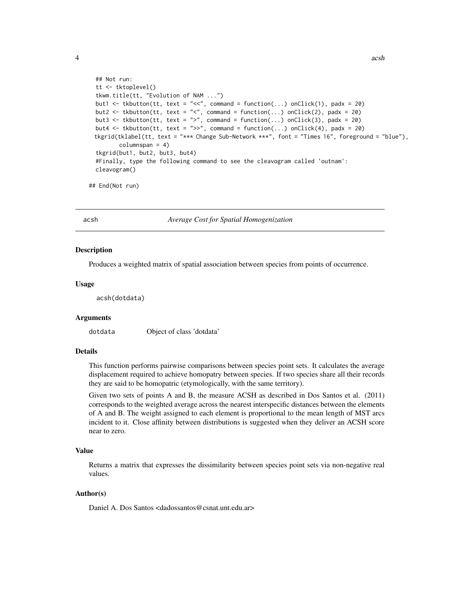```
## Not run:
tt <- tktoplevel()
tkwm.title(tt, "Evolution of NAM ...")
but1 <- tkbutton(tt, text = "<<", command = function(...) onClick(1), padx = 20)
but2 <- tkbutton(tt, text = "<", command = function(...) onClick(2), padx = 20)
but3 <- tkbutton(tt, text = ">", command = function(...) onClick(3), padx = 20)
but4 <- tkbutton(tt, text = ">>", command = function(...) onClick(4), padx = 20)
tkgrid(tklabel(tt, text = "*** Change Sub-Network ***", font = "Times 16", foreground = "blue"),
       columnspan = 4)tkgrid(but1, but2, but3, but4)
#Finally, type the following command to see the cleavogram called 'outnam':
cleavogram()
```

```
## End(Not run)
```
<span id="page-3-1"></span>

acsh *Average Cost for Spatial Homogenization*

#### **Description**

Produces a weighted matrix of spatial association between species from points of occurrence.

#### Usage

acsh(dotdata)

## Arguments

dotdata Object of class 'dotdata'

## Details

This function performs pairwise comparisons between species point sets. It calculates the average displacement required to achieve homopatry between species. If two species share all their records they are said to be homopatric (etymologically, with the same territory).

Given two sets of points A and B, the measure ACSH as described in Dos Santos et al. (2011) corresponds to the weighted average across the nearest interspecific distances between the elements of A and B. The weight assigned to each element is proportional to the mean length of MST arcs incident to it. Close affinity between distributions is suggested when they deliver an ACSH score near to zero.

## Value

Returns a matrix that expresses the dissimilarity between species point sets via non-negative real values.

## Author(s)

Daniel A. Dos Santos <dadossantos@csnat.unt.edu.ar>

<span id="page-3-0"></span>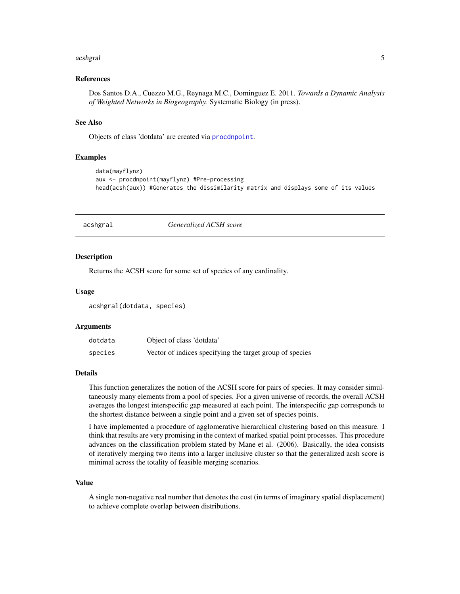#### <span id="page-4-0"></span>acshgral 5 September 2014 at 2014 at 2014 at 2014 at 2014 at 2014 at 2014 at 2014 at 2014 at 2014 at 2014 at 2

## References

Dos Santos D.A., Cuezzo M.G., Reynaga M.C., Dominguez E. 2011. *Towards a Dynamic Analysis of Weighted Networks in Biogeography.* Systematic Biology (in press).

## See Also

Objects of class 'dotdata' are created via [procdnpoint](#page-28-1).

## Examples

```
data(mayflynz)
aux <- procdnpoint(mayflynz) #Pre-processing
head(acsh(aux)) #Generates the dissimilarity matrix and displays some of its values
```
## acshgral *Generalized ACSH score*

#### Description

Returns the ACSH score for some set of species of any cardinality.

#### Usage

acshgral(dotdata, species)

#### Arguments

| dotdata | Object of class 'dotdata'                                |
|---------|----------------------------------------------------------|
| species | Vector of indices specifying the target group of species |

## Details

This function generalizes the notion of the ACSH score for pairs of species. It may consider simultaneously many elements from a pool of species. For a given universe of records, the overall ACSH averages the longest interspecific gap measured at each point. The interspecific gap corresponds to the shortest distance between a single point and a given set of species points.

I have implemented a procedure of agglomerative hierarchical clustering based on this measure. I think that results are very promising in the context of marked spatial point processes. This procedure advances on the classification problem stated by Mane et al. (2006). Basically, the idea consists of iteratively merging two items into a larger inclusive cluster so that the generalized acsh score is minimal across the totality of feasible merging scenarios.

#### Value

A single non-negative real number that denotes the cost (in terms of imaginary spatial displacement) to achieve complete overlap between distributions.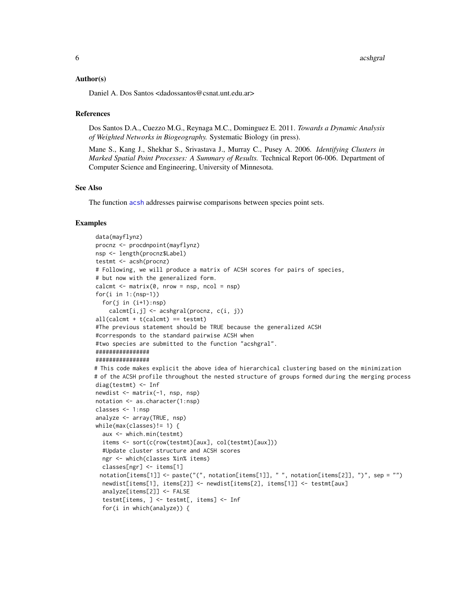## <span id="page-5-0"></span>Author(s)

Daniel A. Dos Santos <dadossantos@csnat.unt.edu.ar>

#### References

Dos Santos D.A., Cuezzo M.G., Reynaga M.C., Dominguez E. 2011. *Towards a Dynamic Analysis of Weighted Networks in Biogeography.* Systematic Biology (in press).

Mane S., Kang J., Shekhar S., Srivastava J., Murray C., Pusey A. 2006. *Identifying Clusters in Marked Spatial Point Processes: A Summary of Results.* Technical Report 06-006. Department of Computer Science and Engineering, University of Minnesota.

## See Also

The function [acsh](#page-3-1) addresses pairwise comparisons between species point sets.

```
data(mayflynz)
procnz <- procdnpoint(mayflynz)
nsp <- length(procnz$Label)
testmt <- acsh(procnz)
# Following, we will produce a matrix of ACSH scores for pairs of species,
# but now with the generalized form.
calcmt \leq matrix(0, nrow = nsp, ncol = nsp)
for(i in 1:(nsp-1))
  for(j in (i+1):nsp)
    cal[i,j] <- acshgral(procnz, c(i, i))all(calcmt + t(calcmt) == testmt)#The previous statement should be TRUE because the generalized ACSH
#corresponds to the standard pairwise ACSH when
#two species are submitted to the function "acshgral".
################
################
# This code makes explicit the above idea of hierarchical clustering based on the minimization
# of the ACSH profile throughout the nested structure of groups formed during the merging process
diag(testmt) <- Inf
newdist <- matrix(-1, nsp, nsp)
notation <- as.character(1:nsp)
classes <- 1:nsp
analyze <- array(TRUE, nsp)
while(max(classes)!= 1) {
  aux <- which.min(testmt)
  items <- sort(c(row(testmt)[aux], col(testmt)[aux]))
  #Update cluster structure and ACSH scores
  ngr <- which(classes %in% items)
  classes[ngr] <- items[1]
 notation[items[1]] <- paste("(", notation[items[1]], " ", notation[items[2]], ")", sep = "")
  newdist[items[1], items[2]] <- newdist[items[2], items[1]] <- testmt[aux]
  analyze[items[2]] <- FALSE
  testmt[items, ] <- testmt[, items] <- Inf
  for(i in which(analyze)) {
```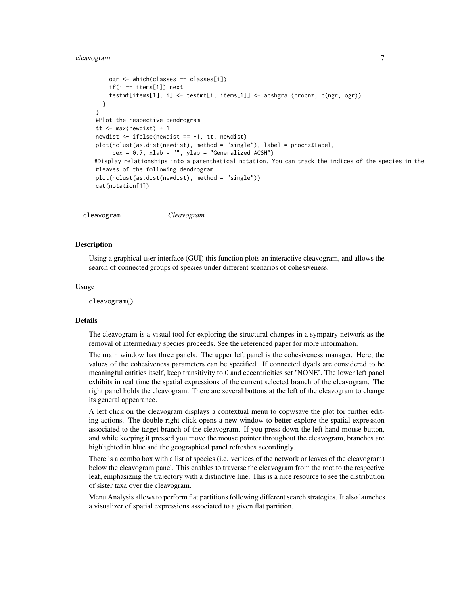## <span id="page-6-0"></span>cleavogram 7

```
ogr <- which(classes == classes[i])
    if(i == items[1]) next
    testmt[items[1], i] <- testmt[i, items[1]] <- acshgral(procnz, c(ngr, ogr))
  }
}
#Plot the respective dendrogram
tt <- max(newdist) + 1
newdist <- ifelse(newdist == -1, tt, newdist)
plot(hclust(as.dist(newdist), method = "single"), label = procnz$Label,
     cex = 0.7, xlab = "", ylab = "Generalized ACSH")
#Display relationships into a parenthetical notation. You can track the indices of the species in the
#leaves of the following dendrogram
plot(hclust(as.dist(newdist), method = "single"))
cat(notation[1])
```

```
cleavogram Cleavogram
```
#### **Description**

Using a graphical user interface (GUI) this function plots an interactive cleavogram, and allows the search of connected groups of species under different scenarios of cohesiveness.

## Usage

cleavogram()

#### Details

The cleavogram is a visual tool for exploring the structural changes in a sympatry network as the removal of intermediary species proceeds. See the referenced paper for more information.

The main window has three panels. The upper left panel is the cohesiveness manager. Here, the values of the cohesiveness parameters can be specified. If connected dyads are considered to be meaningful entities itself, keep transitivity to 0 and eccentricities set 'NONE'. The lower left panel exhibits in real time the spatial expressions of the current selected branch of the cleavogram. The right panel holds the cleavogram. There are several buttons at the left of the cleavogram to change its general appearance.

A left click on the cleavogram displays a contextual menu to copy/save the plot for further editing actions. The double right click opens a new window to better explore the spatial expression associated to the target branch of the cleavogram. If you press down the left hand mouse button, and while keeping it pressed you move the mouse pointer throughout the cleavogram, branches are highlighted in blue and the geographical panel refreshes accordingly.

There is a combo box with a list of species (i.e. vertices of the network or leaves of the cleavogram) below the cleavogram panel. This enables to traverse the cleavogram from the root to the respective leaf, emphasizing the trajectory with a distinctive line. This is a nice resource to see the distribution of sister taxa over the cleavogram.

Menu Analysis allows to perform flat partitions following different search strategies. It also launches a visualizer of spatial expressions associated to a given flat partition.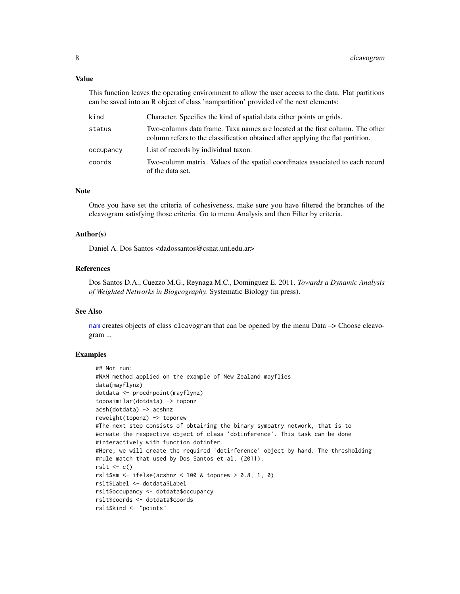## <span id="page-7-0"></span>Value

This function leaves the operating environment to allow the user access to the data. Flat partitions can be saved into an R object of class 'nampartition' provided of the next elements:

| kind      | Character. Specifies the kind of spatial data either points or grids.                                                                                            |
|-----------|------------------------------------------------------------------------------------------------------------------------------------------------------------------|
| status    | Two-columns data frame. Taxa names are located at the first column. The other<br>column refers to the classification obtained after applying the flat partition. |
| occupancy | List of records by individual taxon.                                                                                                                             |
| coords    | Two-column matrix. Values of the spatial coordinates associated to each record<br>of the data set.                                                               |

## Note

Once you have set the criteria of cohesiveness, make sure you have filtered the branches of the cleavogram satisfying those criteria. Go to menu Analysis and then Filter by criteria.

#### Author(s)

Daniel A. Dos Santos <dadossantos@csnat.unt.edu.ar>

### References

Dos Santos D.A., Cuezzo M.G., Reynaga M.C., Dominguez E. 2011. *Towards a Dynamic Analysis of Weighted Networks in Biogeography.* Systematic Biology (in press).

#### See Also

[nam](#page-17-1) creates objects of class cleavogram that can be opened by the menu Data –> Choose cleavogram ...

```
## Not run:
#NAM method applied on the example of New Zealand mayflies
data(mayflynz)
dotdata <- procdnpoint(mayflynz)
toposimilar(dotdata) -> toponz
acsh(dotdata) -> acshnz
reweight(toponz) -> toporew
#The next step consists of obtaining the binary sympatry network, that is to
#create the respective object of class 'dotinference'. This task can be done
#interactively with function dotinfer.
#Here, we will create the required 'dotinference' object by hand. The thresholding
#rule match that used by Dos Santos et al. (2011).
rslt \leq c()rslt$sm <- ifelse(acshnz < 100 & toporew > 0.8, 1, 0)
rslt$Label <- dotdata$Label
rslt$occupancy <- dotdata$occupancy
rslt$coords <- dotdata$coords
rslt$kind <- "points"
```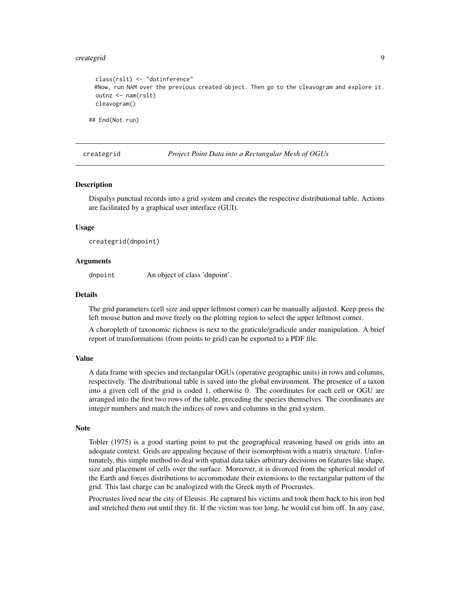#### <span id="page-8-0"></span>creategrid 9

```
class(rslt) <- "dotinference"
 #Now, run NAM over the previous created object. Then go to the cleavogram and explore it.
 outnz <- nam(rslt)
 cleavogram()
## End(Not run)
```
creategrid *Project Point Data into a Rectangular Mesh of OGUs*

## **Description**

Dispalys punctual records into a grid system and creates the respective distributional table. Actions are facilitated by a graphical user interface (GUI).

#### Usage

creategrid(dnpoint)

## Arguments

dnpoint An object of class 'dnpoint'.

#### Details

The grid parameters (cell size and upper leftmost corner) can be manually adjusted. Keep press the left mouse button and move freely on the plotting region to select the upper leftmost corner.

A choropleth of taxonomic richness is next to the graticule/gradicule under manipulation. A brief report of transformations (from points to grid) can be exported to a PDF file.

#### Value

A data frame with species and rectangular OGUs (operative geographic units) in rows and columns, respectively. The distributional table is saved into the global environment. The presence of a taxon into a given cell of the grid is coded 1, otherwise 0. The coordinates for each cell or OGU are arranged into the first two rows of the table, preceding the species themselves. The coordinates are integer numbers and match the indices of rows and columns in the grid system.

#### **Note**

Tobler (1975) is a good starting point to put the geographical reasoning based on grids into an adequate context. Grids are appealing because of their isomorphism with a matrix structure. Unfortunately, this simple method to deal with spatial data takes arbitrary decisions on features like shape, size and placement of cells over the surface. Moreover, it is divorced from the spherical model of the Earth and forces distributions to accommodate their extensions to the rectangular pattern of the grid. This last charge can be analogized with the Greek myth of Procrustes.

Procrustes lived near the city of Eleusis. He captured his victims and took them back to his iron bed and stretched them out until they fit. If the victim was too long, he would cut him off. In any case,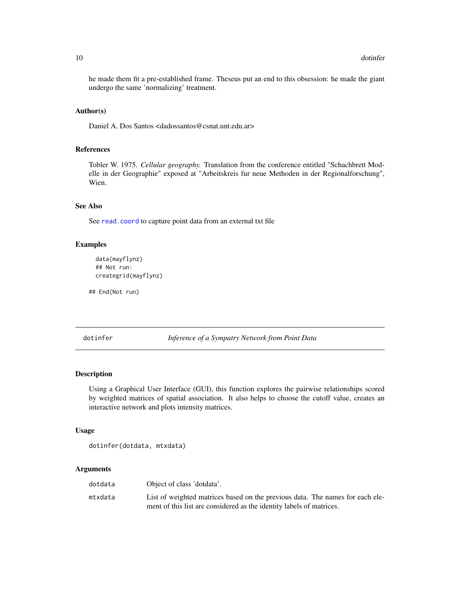he made them fit a pre-established frame. Theseus put an end to this obsession: he made the giant undergo the same 'normalizing' treatment.

## Author(s)

Daniel A. Dos Santos <dadossantos@csnat.unt.edu.ar>

## References

Tobler W. 1975. *Cellular geography.* Translation from the conference entitled "Schachbrett Modelle in der Geographie" exposed at "Arbeitskreis fur neue Methoden in der Regionalforschung", Wien.

## See Also

See [read.coord](#page-30-1) to capture point data from an external txt file

## Examples

```
data(mayflynz)
## Not run:
creategrid(mayflynz)
```
## End(Not run)

dotinfer *Inference of a Sympatry Network from Point Data*

#### Description

Using a Graphical User Interface (GUI), this function explores the pairwise relationships scored by weighted matrices of spatial association. It also helps to choose the cutoff value, creates an interactive network and plots intensity matrices.

## Usage

```
dotinfer(dotdata, mtxdata)
```
## Arguments

| dotdata | Object of class 'dotdata'.                                                    |
|---------|-------------------------------------------------------------------------------|
| mtxdata | List of weighted matrices based on the previous data. The names for each ele- |
|         | ment of this list are considered as the identity labels of matrices.          |

<span id="page-9-0"></span>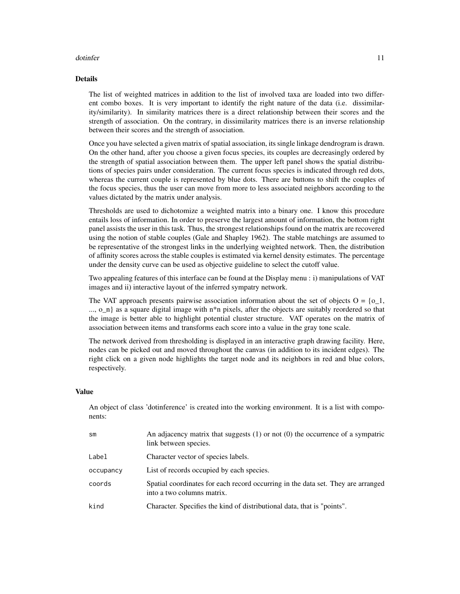#### dotinfer that the contract of the contract of the contract of the contract of the contract of the contract of the contract of the contract of the contract of the contract of the contract of the contract of the contract of

#### Details

The list of weighted matrices in addition to the list of involved taxa are loaded into two different combo boxes. It is very important to identify the right nature of the data (i.e. dissimilarity/similarity). In similarity matrices there is a direct relationship between their scores and the strength of association. On the contrary, in dissimilarity matrices there is an inverse relationship between their scores and the strength of association.

Once you have selected a given matrix of spatial association, its single linkage dendrogram is drawn. On the other hand, after you choose a given focus species, its couples are decreasingly ordered by the strength of spatial association between them. The upper left panel shows the spatial distributions of species pairs under consideration. The current focus species is indicated through red dots, whereas the current couple is represented by blue dots. There are buttons to shift the couples of the focus species, thus the user can move from more to less associated neighbors according to the values dictated by the matrix under analysis.

Thresholds are used to dichotomize a weighted matrix into a binary one. I know this procedure entails loss of information. In order to preserve the largest amount of information, the bottom right panel assists the user in this task. Thus, the strongest relationships found on the matrix are recovered using the notion of stable couples (Gale and Shapley 1962). The stable matchings are assumed to be representative of the strongest links in the underlying weighted network. Then, the distribution of affinity scores across the stable couples is estimated via kernel density estimates. The percentage under the density curve can be used as objective guideline to select the cutoff value.

Two appealing features of this interface can be found at the Display menu : i) manipulations of VAT images and ii) interactive layout of the inferred sympatry network.

The VAT approach presents pairwise association information about the set of objects O = {o\_1, ..., o\_n} as a square digital image with n\*n pixels, after the objects are suitably reordered so that the image is better able to highlight potential cluster structure. VAT operates on the matrix of association between items and transforms each score into a value in the gray tone scale.

The network derived from thresholding is displayed in an interactive graph drawing facility. Here, nodes can be picked out and moved throughout the canvas (in addition to its incident edges). The right click on a given node highlights the target node and its neighbors in red and blue colors, respectively.

## Value

An object of class 'dotinference' is created into the working environment. It is a list with components:

| sm        | An adjacency matrix that suggests $(1)$ or not $(0)$ the occurrence of a sympatric<br>link between species.    |
|-----------|----------------------------------------------------------------------------------------------------------------|
| Label     | Character vector of species labels.                                                                            |
| occupancy | List of records occupied by each species.                                                                      |
| coords    | Spatial coordinates for each record occurring in the data set. They are arranged<br>into a two columns matrix. |
| kind      | Character. Specifies the kind of distributional data, that is "points".                                        |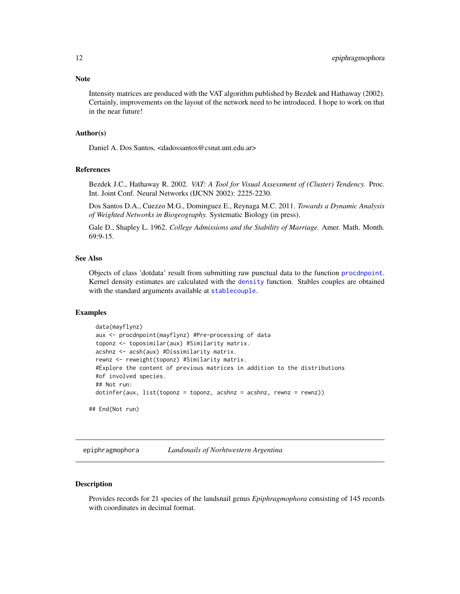<span id="page-11-0"></span>Intensity matrices are produced with the VAT algorithm published by Bezdek and Hathaway (2002). Certainly, improvements on the layout of the network need to be introduced. I hope to work on that in the near future!

#### Author(s)

Daniel A. Dos Santos, <dadossantos@csnat.unt.edu.ar>

#### References

Bezdek J.C., Hathaway R. 2002. *VAT: A Tool for Visual Assessment of (Cluster) Tendency.* Proc. Int. Joint Conf. Neural Networks (IJCNN 2002): 2225-2230.

Dos Santos D.A., Cuezzo M.G., Dominguez E., Reynaga M.C. 2011. *Towards a Dynamic Analysis of Weighted Networks in Biogeography.* Systematic Biology (in press).

Gale D., Shapley L. 1962. *College Admissions and the Stability of Marriage.* Amer. Math. Month. 69:9-15.

#### See Also

Objects of class 'dotdata' result from submitting raw punctual data to the function [procdnpoint](#page-28-1). Kernel density estimates are calculated with the [density](#page-0-0) function. Stables couples are obtained with the standard arguments available at [stablecouple](#page-34-1).

## Examples

```
data(mayflynz)
 aux <- procdnpoint(mayflynz) #Pre-processing of data
 toponz <- toposimilar(aux) #Similarity matrix.
 acshnz <- acsh(aux) #Dissimilarity matrix.
 rewnz <- reweight(toponz) #Similarity matrix.
 #Explore the content of previous matrices in addition to the distributions
 #of involved species.
 ## Not run:
 dotinfer(aux, list(toponz = toponz, acshnz = acshnz, rewnz = rewnz))
## End(Not run)
```
epiphragmophora *Landsnails of Norhtwestern Argentina*

## Description

Provides records for 21 species of the landsnail genus *Epiphragmophora* consisting of 145 records with coordinates in decimal format.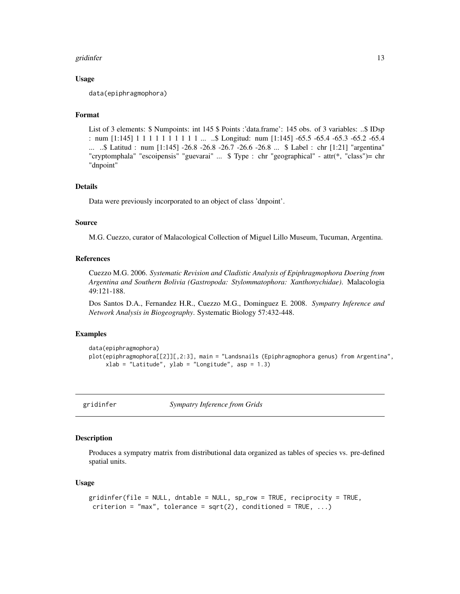#### <span id="page-12-0"></span>gridinfer that the control of the control of the control of the control of the control of the control of the control of the control of the control of the control of the control of the control of the control of the control

## Usage

data(epiphragmophora)

## Format

List of 3 elements: \$ Numpoints: int 145 \$ Points :'data.frame': 145 obs. of 3 variables: ..\$ IDsp : num [1:145] 1 1 1 1 1 1 1 1 1 1 1 ... ..\$ Longitud: num [1:145] -65.5 -65.4 -65.3 -65.2 -65.4 ... ..\$ Latitud : num [1:145] -26.8 -26.8 -26.7 -26.6 -26.8 ... \$ Label : chr [1:21] "argentina" "cryptomphala" "escoipensis" "guevarai" ... \$ Type : chr "geographical" - attr(\*, "class")= chr "dnpoint"

## Details

Data were previously incorporated to an object of class 'dnpoint'.

#### Source

M.G. Cuezzo, curator of Malacological Collection of Miguel Lillo Museum, Tucuman, Argentina.

#### References

Cuezzo M.G. 2006. *Systematic Revision and Cladistic Analysis of Epiphragmophora Doering from Argentina and Southern Bolivia (Gastropoda: Stylommatophora: Xanthonychidae)*. Malacologia 49:121-188.

Dos Santos D.A., Fernandez H.R., Cuezzo M.G., Dominguez E. 2008. *Sympatry Inference and Network Analysis in Biogeography*. Systematic Biology 57:432-448.

## Examples

```
data(epiphragmophora)
plot(epiphragmophora[[2]][,2:3], main = "Landsnails (Epiphragmophora genus) from Argentina",
     xlab = "Latitude", ylab = "Longitude", asp = 1.3)
```
gridinfer *Sympatry Inference from Grids*

## **Description**

Produces a sympatry matrix from distributional data organized as tables of species vs. pre-defined spatial units.

## Usage

```
gridinfer(file = NULL, dntable = NULL, sp_row = TRUE, reciprocity = TRUE,
 criterion = "max", tolerance = sqrt(2), conditioned = TRUE, ...)
```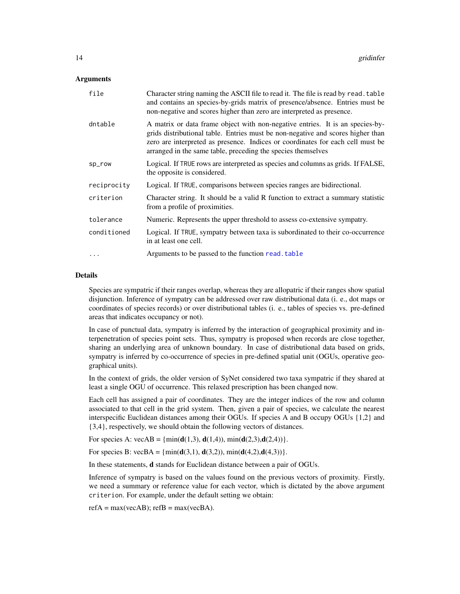## <span id="page-13-0"></span>Arguments

| file        | Character string naming the ASCII file to read it. The file is read by read. table<br>and contains an species-by-grids matrix of presence/absence. Entries must be<br>non-negative and scores higher than zero are interpreted as presence.                                                                        |
|-------------|--------------------------------------------------------------------------------------------------------------------------------------------------------------------------------------------------------------------------------------------------------------------------------------------------------------------|
| dntable     | A matrix or data frame object with non-negative entries. It is an species-by-<br>grids distributional table. Entries must be non-negative and scores higher than<br>zero are interpreted as presence. Indices or coordinates for each cell must be<br>arranged in the same table, preceding the species themselves |
| sp_row      | Logical. If TRUE rows are interpreted as species and columns as grids. If FALSE,<br>the opposite is considered.                                                                                                                                                                                                    |
| reciprocity | Logical. If TRUE, comparisons between species ranges are bidirectional.                                                                                                                                                                                                                                            |
| criterion   | Character string. It should be a valid R function to extract a summary statistic<br>from a profile of proximities.                                                                                                                                                                                                 |
| tolerance   | Numeric. Represents the upper threshold to assess co-extensive sympatry.                                                                                                                                                                                                                                           |
| conditioned | Logical. If TRUE, sympatry between taxa is subordinated to their co-occurrence<br>in at least one cell.                                                                                                                                                                                                            |
| $\cdots$    | Arguments to be passed to the function read. table                                                                                                                                                                                                                                                                 |

## Details

Species are sympatric if their ranges overlap, whereas they are allopatric if their ranges show spatial disjunction. Inference of sympatry can be addressed over raw distributional data (i. e., dot maps or coordinates of species records) or over distributional tables (i. e., tables of species vs. pre-defined areas that indicates occupancy or not).

In case of punctual data, sympatry is inferred by the interaction of geographical proximity and interpenetration of species point sets. Thus, sympatry is proposed when records are close together, sharing an underlying area of unknown boundary. In case of distributional data based on grids, sympatry is inferred by co-occurrence of species in pre-defined spatial unit (OGUs, operative geographical units).

In the context of grids, the older version of SyNet considered two taxa sympatric if they shared at least a single OGU of occurrence. This relaxed prescription has been changed now.

Each cell has assigned a pair of coordinates. They are the integer indices of the row and column associated to that cell in the grid system. Then, given a pair of species, we calculate the nearest interspecific Euclidean distances among their OGUs. If species A and B occupy OGUs {1,2} and {3,4}, respectively, we should obtain the following vectors of distances.

For species A: vecAB = { $min(d(1,3), d(1,4)), min(d(2,3), d(2,4))$ }.

For species B: vecBA = { $min(d(3,1), d(3,2)), min(d(4,2), d(4,3))$ }.

In these statements, d stands for Euclidean distance between a pair of OGUs.

Inference of sympatry is based on the values found on the previous vectors of proximity. Firstly, we need a summary or reference value for each vector, which is dictated by the above argument criterion. For example, under the default setting we obtain:

 $refA = max(vecAB)$ ;  $refB = max(vecBA)$ .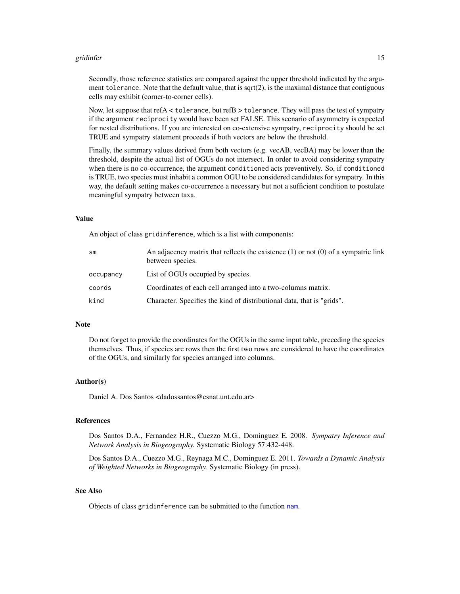#### <span id="page-14-0"></span>gridinfer that the control of the control of the control of the control of the control of the control of the control of the control of the control of the control of the control of the control of the control of the control

Secondly, those reference statistics are compared against the upper threshold indicated by the argument tolerance. Note that the default value, that is sqrt $(2)$ , is the maximal distance that contiguous cells may exhibit (corner-to-corner cells).

Now, let suppose that refA < tolerance, but refB > tolerance. They will pass the test of sympatry if the argument reciprocity would have been set FALSE. This scenario of asymmetry is expected for nested distributions. If you are interested on co-extensive sympatry, reciprocity should be set TRUE and sympatry statement proceeds if both vectors are below the threshold.

Finally, the summary values derived from both vectors (e.g. vecAB, vecBA) may be lower than the threshold, despite the actual list of OGUs do not intersect. In order to avoid considering sympatry when there is no co-occurrence, the argument conditioned acts preventively. So, if conditioned is TRUE, two species must inhabit a common OGU to be considered candidates for sympatry. In this way, the default setting makes co-occurrence a necessary but not a sufficient condition to postulate meaningful sympatry between taxa.

## Value

An object of class gridinference, which is a list with components:

| sm        | An adjacency matrix that reflects the existence $(1)$ or not $(0)$ of a sympatric link<br>between species. |
|-----------|------------------------------------------------------------------------------------------------------------|
| occupancy | List of OGUs occupied by species.                                                                          |
| coords    | Coordinates of each cell arranged into a two-columns matrix.                                               |
| kind      | Character. Specifies the kind of distributional data, that is "grids".                                     |

#### Note

Do not forget to provide the coordinates for the OGUs in the same input table, preceding the species themselves. Thus, if species are rows then the first two rows are considered to have the coordinates of the OGUs, and similarly for species arranged into columns.

#### Author(s)

Daniel A. Dos Santos <dadossantos@csnat.unt.edu.ar>

## References

Dos Santos D.A., Fernandez H.R., Cuezzo M.G., Dominguez E. 2008. *Sympatry Inference and Network Analysis in Biogeography.* Systematic Biology 57:432-448.

Dos Santos D.A., Cuezzo M.G., Reynaga M.C., Dominguez E. 2011. *Towards a Dynamic Analysis of Weighted Networks in Biogeography.* Systematic Biology (in press).

## See Also

Objects of class gridinference can be submitted to the function [nam](#page-17-1).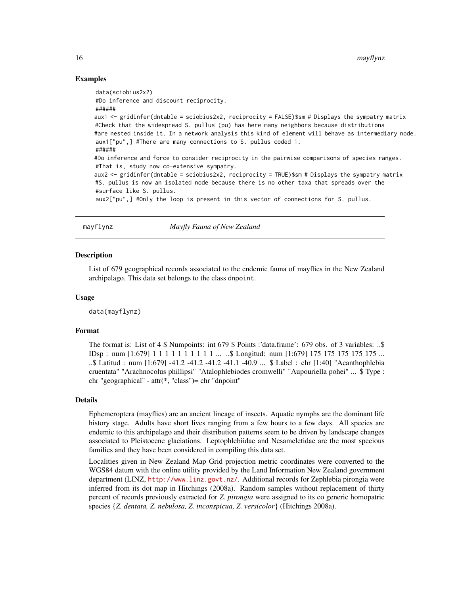## Examples

```
data(sciobius2x2)
#Do inference and discount reciprocity.
######
aux1 <- gridinfer(dntable = sciobius2x2, reciprocity = FALSE)$sm # Displays the sympatry matrix
#Check that the widespread S. pullus (pu) has here many neighbors because distributions
#are nested inside it. In a network analysis this kind of element will behave as intermediary node.
aux1["pu",] #There are many connections to S. pullus coded 1.
######
#Do inference and force to consider reciprocity in the pairwise comparisons of species ranges.
#That is, study now co-extensive sympatry.
aux2 <- gridinfer(dntable = sciobius2x2, reciprocity = TRUE)$sm # Displays the sympatry matrix
#S. pullus is now an isolated node because there is no other taxa that spreads over the
#surface like S. pullus.
aux2["pu",] #Only the loop is present in this vector of connections for S. pullus.
```
mayflynz *Mayfly Fauna of New Zealand*

#### Description

List of 679 geographical records associated to the endemic fauna of mayflies in the New Zealand archipelago. This data set belongs to the class dnpoint.

## Usage

data(mayflynz)

## Format

The format is: List of 4 \$ Numpoints: int 679 \$ Points :'data.frame': 679 obs. of 3 variables: ..\$ IDsp : num [1:679] 1 1 1 1 1 1 1 1 1 1 ... ..\$ Longitud: num [1:679] 175 175 175 175 175 ... ..\$ Latitud : num [1:679] -41.2 -41.2 -41.2 -41.1 -40.9 ... \$ Label : chr [1:40] "Acanthophlebia cruentata" "Arachnocolus phillipsi" "Atalophlebiodes cromwelli" "Aupouriella pohei" ... \$ Type : chr "geographical" - attr(\*, "class")= chr "dnpoint"

## Details

Ephemeroptera (mayflies) are an ancient lineage of insects. Aquatic nymphs are the dominant life history stage. Adults have short lives ranging from a few hours to a few days. All species are endemic to this archipelago and their distribution patterns seem to be driven by landscape changes associated to Pleistocene glaciations. Leptophlebiidae and Nesameletidae are the most specious families and they have been considered in compiling this data set.

Localities given in New Zealand Map Grid projection metric coordinates were converted to the WGS84 datum with the online utility provided by the Land Information New Zealand government department (LINZ, <http://www.linz.govt.nz/>. Additional records for Zephlebia pirongia were inferred from its dot map in Hitchings (2008a). Random samples without replacement of thirty percent of records previously extracted for *Z. pirongia* were assigned to its co generic homopatric species {*Z. dentata, Z. nebulosa, Z. inconspicua, Z. versicolor*} (Hitchings 2008a).

<span id="page-15-0"></span>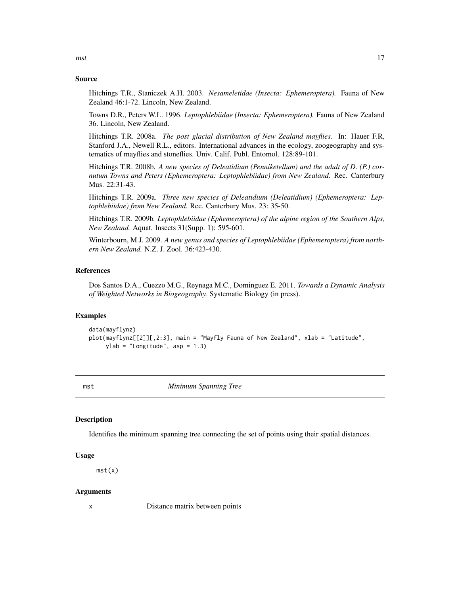#### <span id="page-16-0"></span>Source

Hitchings T.R., Staniczek A.H. 2003. *Nesameletidae (Insecta: Ephemeroptera).* Fauna of New Zealand 46:1-72. Lincoln, New Zealand.

Towns D.R., Peters W.L. 1996. *Leptophlebiidae (Insecta: Ephemeroptera).* Fauna of New Zealand 36. Lincoln, New Zealand.

Hitchings T.R. 2008a. *The post glacial distribution of New Zealand mayflies.* In: Hauer F.R, Stanford J.A., Newell R.L., editors. International advances in the ecology, zoogeography and systematics of mayflies and stoneflies. Univ. Calif. Publ. Entomol. 128:89-101.

Hitchings T.R. 2008b. *A new species of Deleatidium (Penniketellum) and the adult of D. (P.) cornutum Towns and Peters (Ephemeroptera: Leptophlebiidae) from New Zealand.* Rec. Canterbury Mus. 22:31-43.

Hitchings T.R. 2009a. *Three new species of Deleatidium (Deleatidium) (Ephemeroptera: Leptophlebiidae) from New Zealand.* Rec. Canterbury Mus. 23: 35-50.

Hitchings T.R. 2009b. *Leptophlebiidae (Ephemeroptera) of the alpine region of the Southern Alps, New Zealand.* Aquat. Insects 31(Supp. 1): 595-601.

Winterbourn, M.J. 2009. *A new genus and species of Leptophlebiidae (Ephemeroptera) from northern New Zealand.* N.Z. J. Zool. 36:423-430.

## References

Dos Santos D.A., Cuezzo M.G., Reynaga M.C., Dominguez E. 2011. *Towards a Dynamic Analysis of Weighted Networks in Biogeography.* Systematic Biology (in press).

## Examples

```
data(mayflynz)
plot(mayflynz[[2]][,2:3], main = "Mayfly Fauna of New Zealand", xlab = "Latitude",
    ylab = "Longitude", asp = 1.3)
```
<span id="page-16-1"></span>

mst *Minimum Spanning Tree*

## **Description**

Identifies the minimum spanning tree connecting the set of points using their spatial distances.

#### Usage

mst(x)

#### Arguments

x Distance matrix between points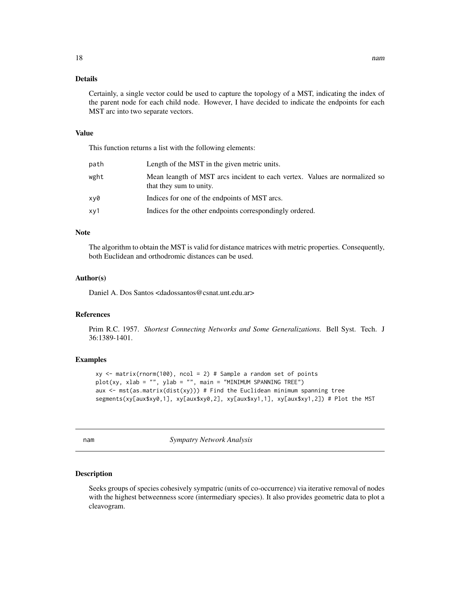## <span id="page-17-0"></span>Details

Certainly, a single vector could be used to capture the topology of a MST, indicating the index of the parent node for each child node. However, I have decided to indicate the endpoints for each MST arc into two separate vectors.

## Value

This function returns a list with the following elements:

| path | Length of the MST in the given metric units.                                                          |
|------|-------------------------------------------------------------------------------------------------------|
| wght | Mean leangth of MST arcs incident to each vertex. Values are normalized so<br>that they sum to unity. |
| xv0  | Indices for one of the endpoints of MST arcs.                                                         |
| xy1  | Indices for the other endpoints correspondingly ordered.                                              |

#### Note

The algorithm to obtain the MST is valid for distance matrices with metric properties. Consequently, both Euclidean and orthodromic distances can be used.

#### Author(s)

Daniel A. Dos Santos <dadossantos@csnat.unt.edu.ar>

## References

Prim R.C. 1957. *Shortest Connecting Networks and Some Generalizations.* Bell Syst. Tech. J 36:1389-1401.

## Examples

```
xy \le matrix(rnorm(100), ncol = 2) # Sample a random set of points
plot(xy, xlab = "", ylab = "", main = "MINIMUM SPANNING TREE")aux \le mst(as.matrix(dist(xy))) # Find the Euclidean minimum spanning tree
segments(xy[aux$xy0,1], xy[aux$xy0,2], xy[aux$xy1,1], xy[aux$xy1,2]) # Plot the MST
```
<span id="page-17-1"></span>nam *Sympatry Network Analysis*

#### Description

Seeks groups of species cohesively sympatric (units of co-occurrence) via iterative removal of nodes with the highest betweenness score (intermediary species). It also provides geometric data to plot a cleavogram.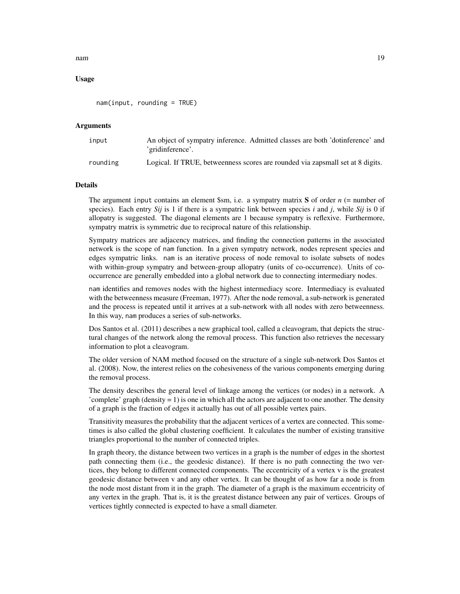#### nam and the contract of the contract of the contract of the contract of the contract of the contract of the contract of the contract of the contract of the contract of the contract of the contract of the contract of the co

## Usage

nam(input, rounding = TRUE)

## **Arguments**

| input    | An object of sympatry inference. Admitted classes are both 'dotinference' and<br>'gridinference'. |
|----------|---------------------------------------------------------------------------------------------------|
| rounding | Logical. If TRUE, betweenness scores are rounded via zapsmall set at 8 digits.                    |

## Details

The argument input contains an element  $\$ sm, i.e. a sympatry matrix S of order  $n$  (= number of species). Each entry *Sij* is 1 if there is a sympatric link between species *i* and *j*, while *Sij* is 0 if allopatry is suggested. The diagonal elements are 1 because sympatry is reflexive. Furthermore, sympatry matrix is symmetric due to reciprocal nature of this relationship.

Sympatry matrices are adjacency matrices, and finding the connection patterns in the associated network is the scope of nam function. In a given sympatry network, nodes represent species and edges sympatric links. nam is an iterative process of node removal to isolate subsets of nodes with within-group sympatry and between-group allopatry (units of co-occurrence). Units of cooccurrence are generally embedded into a global network due to connecting intermediary nodes.

nam identifies and removes nodes with the highest intermediacy score. Intermediacy is evaluated with the betweenness measure (Freeman, 1977). After the node removal, a sub-network is generated and the process is repeated until it arrives at a sub-network with all nodes with zero betweenness. In this way, nam produces a series of sub-networks.

Dos Santos et al. (2011) describes a new graphical tool, called a cleavogram, that depicts the structural changes of the network along the removal process. This function also retrieves the necessary information to plot a cleavogram.

The older version of NAM method focused on the structure of a single sub-network Dos Santos et al. (2008). Now, the interest relies on the cohesiveness of the various components emerging during the removal process.

The density describes the general level of linkage among the vertices (or nodes) in a network. A 'complete' graph (density  $= 1$ ) is one in which all the actors are adjacent to one another. The density of a graph is the fraction of edges it actually has out of all possible vertex pairs.

Transitivity measures the probability that the adjacent vertices of a vertex are connected. This sometimes is also called the global clustering coefficient. It calculates the number of existing transitive triangles proportional to the number of connected triples.

In graph theory, the distance between two vertices in a graph is the number of edges in the shortest path connecting them (i.e., the geodesic distance). If there is no path connecting the two vertices, they belong to different connected components. The eccentricity of a vertex v is the greatest geodesic distance between v and any other vertex. It can be thought of as how far a node is from the node most distant from it in the graph. The diameter of a graph is the maximum eccentricity of any vertex in the graph. That is, it is the greatest distance between any pair of vertices. Groups of vertices tightly connected is expected to have a small diameter.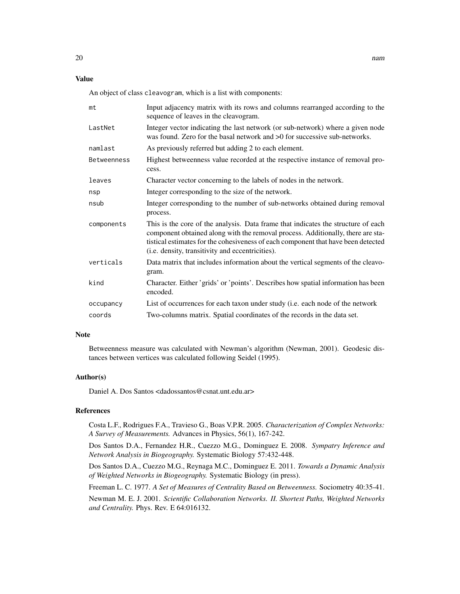## Value

An object of class cleavogram, which is a list with components:

| mt          | Input adjacency matrix with its rows and columns rearranged according to the<br>sequence of leaves in the cleavogram.                                                                                                                                                                                         |
|-------------|---------------------------------------------------------------------------------------------------------------------------------------------------------------------------------------------------------------------------------------------------------------------------------------------------------------|
| LastNet     | Integer vector indicating the last network (or sub-network) where a given node<br>was found. Zero for the basal network and >0 for successive sub-networks.                                                                                                                                                   |
| namlast     | As previously referred but adding 2 to each element.                                                                                                                                                                                                                                                          |
| Betweenness | Highest betweenness value recorded at the respective instance of removal pro-<br>cess.                                                                                                                                                                                                                        |
| leaves      | Character vector concerning to the labels of nodes in the network.                                                                                                                                                                                                                                            |
| nsp         | Integer corresponding to the size of the network.                                                                                                                                                                                                                                                             |
| nsub        | Integer corresponding to the number of sub-networks obtained during removal<br>process.                                                                                                                                                                                                                       |
| components  | This is the core of the analysis. Data frame that indicates the structure of each<br>component obtained along with the removal process. Additionally, there are sta-<br>tistical estimates for the cohesiveness of each component that have been detected<br>(i.e. density, transitivity and eccentricities). |
| verticals   | Data matrix that includes information about the vertical segments of the cleavo-<br>gram.                                                                                                                                                                                                                     |
| kind        | Character. Either 'grids' or 'points'. Describes how spatial information has been<br>encoded.                                                                                                                                                                                                                 |
| occupancy   | List of occurrences for each taxon under study (i.e. each node of the network                                                                                                                                                                                                                                 |
| coords      | Two-columns matrix. Spatial coordinates of the records in the data set.                                                                                                                                                                                                                                       |

## Note

Betweenness measure was calculated with Newman's algorithm (Newman, 2001). Geodesic distances between vertices was calculated following Seidel (1995).

## Author(s)

Daniel A. Dos Santos <dadossantos@csnat.unt.edu.ar>

## References

Costa L.F., Rodrigues F.A., Travieso G., Boas V.P.R. 2005. *Characterization of Complex Networks: A Survey of Measurements.* Advances in Physics, 56(1), 167-242.

Dos Santos D.A., Fernandez H.R., Cuezzo M.G., Dominguez E. 2008. *Sympatry Inference and Network Analysis in Biogeography.* Systematic Biology 57:432-448.

Dos Santos D.A., Cuezzo M.G., Reynaga M.C., Dominguez E. 2011. *Towards a Dynamic Analysis of Weighted Networks in Biogeography.* Systematic Biology (in press).

Freeman L. C. 1977. *A Set of Measures of Centrality Based on Betweenness.* Sociometry 40:35-41.

Newman M. E. J. 2001. *Scientific Collaboration Networks. II. Shortest Paths, Weighted Networks and Centrality.* Phys. Rev. E 64:016132.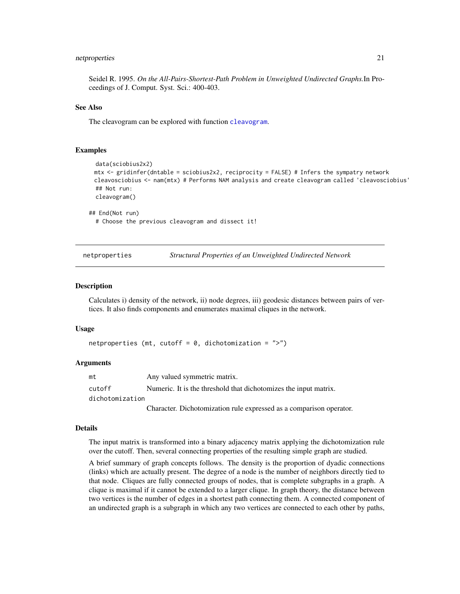## <span id="page-20-0"></span>netproperties 21

Seidel R. 1995. *On the All-Pairs-Shortest-Path Problem in Unweighted Undirected Graphs.*In Proceedings of J. Comput. Syst. Sci.: 400-403.

## See Also

The cleavogram can be explored with function [cleavogram](#page-6-1).

#### Examples

```
data(sciobius2x2)
mtx <- gridinfer(dntable = sciobius2x2, reciprocity = FALSE) # Infers the sympatry network
cleavosciobius <- nam(mtx) # Performs NAM analysis and create cleavogram called 'cleavosciobius'
## Not run:
cleavogram()
```
## End(Not run) # Choose the previous cleavogram and dissect it!

netproperties *Structural Properties of an Unweighted Undirected Network*

#### **Description**

Calculates i) density of the network, ii) node degrees, iii) geodesic distances between pairs of vertices. It also finds components and enumerates maximal cliques in the network.

#### Usage

```
netproperties (mt, cutoff = 0, dichotomization = ">")
```
## Arguments

| mt              | Any valued symmetric matrix.                                        |
|-----------------|---------------------------------------------------------------------|
| cutoff          | Numeric. It is the threshold that dichotomizes the input matrix.    |
| dichotomization |                                                                     |
|                 | Character. Dichotomization rule expressed as a comparison operator. |

#### Details

The input matrix is transformed into a binary adjacency matrix applying the dichotomization rule over the cutoff. Then, several connecting properties of the resulting simple graph are studied.

A brief summary of graph concepts follows. The density is the proportion of dyadic connections (links) which are actually present. The degree of a node is the number of neighbors directly tied to that node. Cliques are fully connected groups of nodes, that is complete subgraphs in a graph. A clique is maximal if it cannot be extended to a larger clique. In graph theory, the distance between two vertices is the number of edges in a shortest path connecting them. A connected component of an undirected graph is a subgraph in which any two vertices are connected to each other by paths,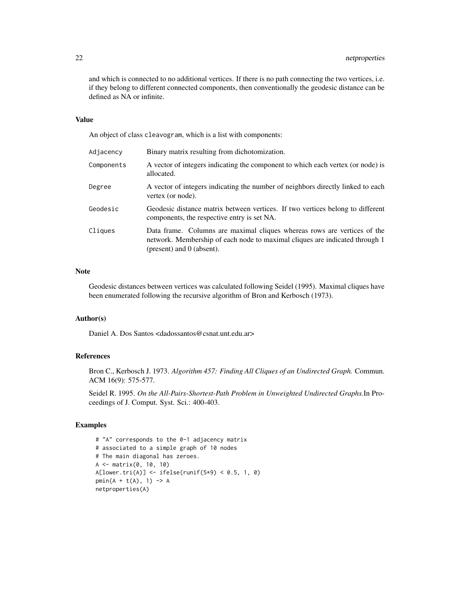and which is connected to no additional vertices. If there is no path connecting the two vertices, i.e. if they belong to different connected components, then conventionally the geodesic distance can be defined as NA or infinite.

## Value

An object of class cleavogram, which is a list with components:

| Adjacency  | Binary matrix resulting from dichotomization.                                                                                                                                               |
|------------|---------------------------------------------------------------------------------------------------------------------------------------------------------------------------------------------|
| Components | A vector of integers indicating the component to which each vertex (or node) is<br>allocated.                                                                                               |
| Degree     | A vector of integers indicating the number of neighbors directly linked to each<br>vertex (or node).                                                                                        |
| Geodesic   | Geodesic distance matrix between vertices. If two vertices belong to different<br>components, the respective entry is set NA.                                                               |
| Cliques    | Data frame. Columns are maximal cliques whereas rows are vertices of the<br>network. Membership of each node to maximal cliques are indicated through 1<br>(present) and $\theta$ (absent). |

## Note

Geodesic distances between vertices was calculated following Seidel (1995). Maximal cliques have been enumerated following the recursive algorithm of Bron and Kerbosch (1973).

## Author(s)

Daniel A. Dos Santos <dadossantos@csnat.unt.edu.ar>

## References

Bron C., Kerbosch J. 1973. *Algorithm 457: Finding All Cliques of an Undirected Graph.* Commun. ACM 16(9): 575-577.

Seidel R. 1995. *On the All-Pairs-Shortest-Path Problem in Unweighted Undirected Graphs.*In Proceedings of J. Comput. Syst. Sci.: 400-403.

```
# "A" corresponds to the 0-1 adjacency matrix
# associated to a simple graph of 10 nodes
# The main diagonal has zeroes.
A <- matrix(0, 10, 10)
A[lower.tri(A)] \leftarrow ifelse(runif(5*9) < 0.5, 1, 0)pmin(A + t(A), 1) -> A
netproperties(A)
```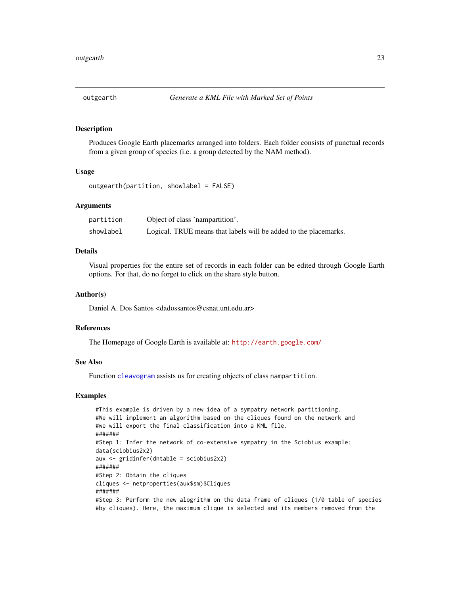## <span id="page-22-1"></span><span id="page-22-0"></span>Description

Produces Google Earth placemarks arranged into folders. Each folder consists of punctual records from a given group of species (i.e. a group detected by the NAM method).

## Usage

```
outgearth(partition, showlabel = FALSE)
```
## Arguments

| partition | Object of class 'nampartition'.                                  |
|-----------|------------------------------------------------------------------|
| showlabel | Logical. TRUE means that labels will be added to the placemarks. |

## Details

Visual properties for the entire set of records in each folder can be edited through Google Earth options. For that, do no forget to click on the share style button.

#### Author(s)

Daniel A. Dos Santos <dadossantos@csnat.unt.edu.ar>

#### References

The Homepage of Google Earth is available at: <http://earth.google.com/>

## See Also

Function [cleavogram](#page-6-1) assists us for creating objects of class nampartition.

```
#This example is driven by a new idea of a sympatry network partitioning.
#We will implement an algorithm based on the cliques found on the network and
#we will export the final classification into a KML file.
#######
#Step 1: Infer the network of co-extensive sympatry in the Sciobius example:
data(sciobius2x2)
aux <- gridinfer(dntable = sciobius2x2)
#######
#Step 2: Obtain the cliques
cliques <- netproperties(aux$sm)$Cliques
#######
#Step 3: Perform the new alogrithm on the data frame of cliques (1/0 table of species
#by cliques). Here, the maximum clique is selected and its members removed from the
```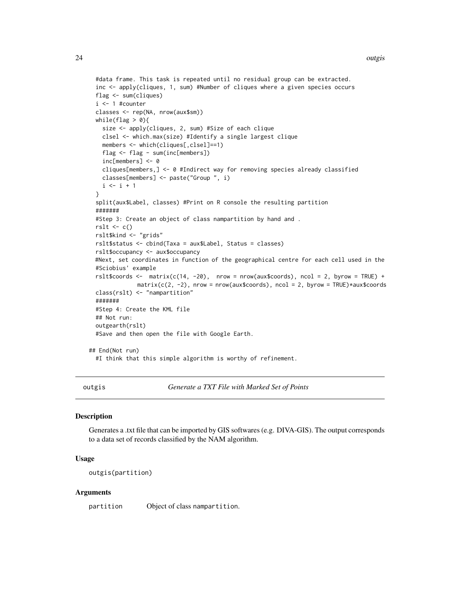#### <span id="page-23-0"></span>24 outgise the contract of the contract of the contract of the contract of the contract of the contract of the contract of the contract of the contract of the contract of the contract of the contract of the contract of the

```
#data frame. This task is repeated until no residual group can be extracted.
 inc <- apply(cliques, 1, sum) #Number of cliques where a given species occurs
 flag <- sum(cliques)
 i <- 1 #counter
 classes <- rep(NA, nrow(aux$sm))
 while(flag > 0){
   size <- apply(cliques, 2, sum) #Size of each clique
   clsel <- which.max(size) #Identify a single largest clique
   members <- which(cliques[,clsel]==1)
   flag <- flag - sum(inc[members])
   inc[members] <- 0
   cliques[members,] <- 0 #Indirect way for removing species already classified
   classes[members] <- paste("Group ", i)
   i \leftarrow i + 1}
 split(aux$Label, classes) #Print on R console the resulting partition
 #######
 #Step 3: Create an object of class nampartition by hand and .
 rslt \leq c()
 rslt$kind <- "grids"
 rslt$status <- cbind(Taxa = aux$Label, Status = classes)
 rslt$occupancy <- aux$occupancy
 #Next, set coordinates in function of the geographical centre for each cell used in the
 #Sciobius' example
 rslt$coords <- matrix(c(14, -20), nrow = nrow(aux$coords), ncol = 2, byrow = TRUE) +
              matrix(c(2, -2)), nrow = nrow(aux$coords), ncol = 2, byrow = TRUE)*aux$coords
 class(rslt) <- "nampartition"
 #######
 #Step 4: Create the KML file
 ## Not run:
 outgearth(rslt)
 #Save and then open the file with Google Earth.
## End(Not run)
 #I think that this simple algorithm is worthy of refinement.
```
outgis *Generate a TXT File with Marked Set of Points*

## Description

Generates a .txt file that can be imported by GIS softwares (e.g. DIVA-GIS). The output corresponds to a data set of records classified by the NAM algorithm.

#### Usage

outgis(partition)

#### Arguments

partition Object of class nampartition.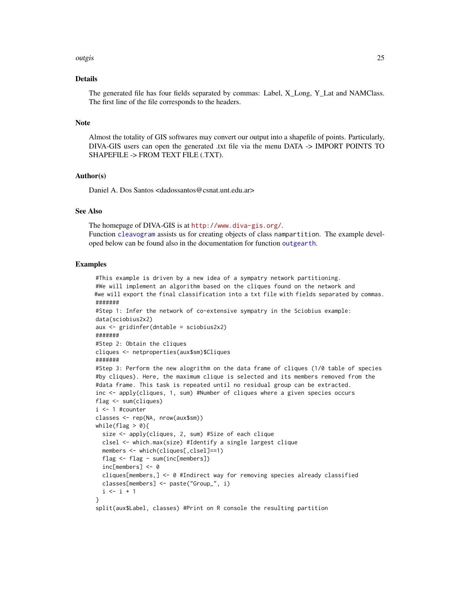#### <span id="page-24-0"></span>outgis 25 and 25 and 2012 the control of the control of the control of the control of the control of the control of the control of the control of the control of the control of the control of the control of the control of t

## Details

The generated file has four fields separated by commas: Label, X\_Long, Y\_Lat and NAMClass. The first line of the file corresponds to the headers.

## Note

Almost the totality of GIS softwares may convert our output into a shapefile of points. Particularly, DIVA-GIS users can open the generated .txt file via the menu DATA -> IMPORT POINTS TO SHAPEFILE -> FROM TEXT FILE (.TXT).

#### Author(s)

Daniel A. Dos Santos <dadossantos@csnat.unt.edu.ar>

## See Also

The homepage of DIVA-GIS is at <http://www.diva-gis.org/>. Function [cleavogram](#page-6-1) assists us for creating objects of class nampartition. The example developed below can be found also in the documentation for function [outgearth](#page-22-1).

```
#This example is driven by a new idea of a sympatry network partitioning.
#We will implement an algorithm based on the cliques found on the network and
#we will export the final classification into a txt file with fields separated by commas.
#######
#Step 1: Infer the network of co-extensive sympatry in the Sciobius example:
data(sciobius2x2)
aux <- gridinfer(dntable = sciobius2x2)
#######
#Step 2: Obtain the cliques
cliques <- netproperties(aux$sm)$Cliques
#######
#Step 3: Perform the new alogrithm on the data frame of cliques (1/0 table of species
#by cliques). Here, the maximum clique is selected and its members removed from the
#data frame. This task is repeated until no residual group can be extracted.
inc <- apply(cliques, 1, sum) #Number of cliques where a given species occurs
flag <- sum(cliques)
i \leq 1 #counter
classes <- rep(NA, nrow(aux$sm))
while(flag > 0){
  size <- apply(cliques, 2, sum) #Size of each clique
  clsel <- which.max(size) #Identify a single largest clique
  members <- which(cliques[,clsel]==1)
  flag <- flag - sum(inc[members])
  inc[members] <- 0
  cliques[members,] <- 0 #Indirect way for removing species already classified
  classes[members] <- paste("Group_", i)
  i \le i + 1}
split(aux$Label, classes) #Print on R console the resulting partition
```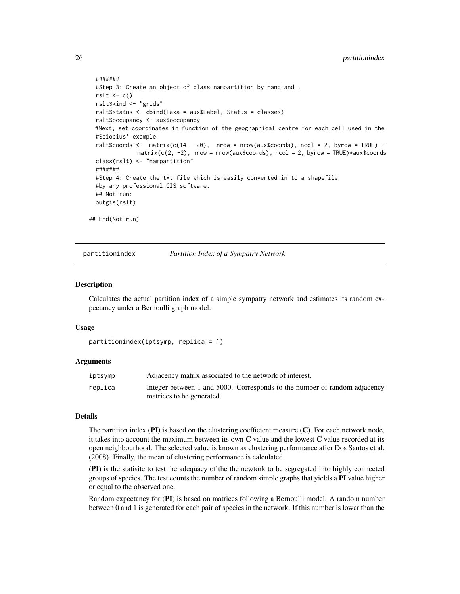```
#######
 #Step 3: Create an object of class nampartition by hand and .
 rslt \leftarrow c()
 rslt$kind <- "grids"
 rslt$status <- cbind(Taxa = aux$Label, Status = classes)
 rslt$occupancy <- aux$occupancy
 #Next, set coordinates in function of the geographical centre for each cell used in the
 #Sciobius' example
 rslt$coords <- matrix(c(14, -20), nrow = nrow(aux$coords), ncol = 2, byrow = TRUE) +
              matrix(c(2, -2), nrow = nrow(aux$coordinates), ncol = 2, byrow = TRUE)*aux$coordinatesclass(rslt) <- "nampartition"
 #######
 #Step 4: Create the txt file which is easily converted in to a shapefile
 #by any professional GIS software.
 ## Not run:
 outgis(rslt)
## End(Not run)
```
partitionindex *Partition Index of a Sympatry Network*

## Description

Calculates the actual partition index of a simple sympatry network and estimates its random expectancy under a Bernoulli graph model.

#### Usage

```
partitionindex(iptsymp, replica = 1)
```
#### Arguments

| iptsymp | Adjacency matrix associated to the network of interest.                   |
|---------|---------------------------------------------------------------------------|
| replica | Integer between 1 and 5000. Corresponds to the number of random adjacency |
|         | matrices to be generated.                                                 |

## Details

The partition index  $(PI)$  is based on the clustering coefficient measure  $(C)$ . For each network node, it takes into account the maximum between its own  $C$  value and the lowest  $C$  value recorded at its open neighbourhood. The selected value is known as clustering performance after Dos Santos et al. (2008). Finally, the mean of clustering performance is calculated.

(PI) is the statisitc to test the adequacy of the the newtork to be segregated into highly connected groups of species. The test counts the number of random simple graphs that yields a PI value higher or equal to the observed one.

Random expectancy for (PI) is based on matrices following a Bernoulli model. A random number between 0 and 1 is generated for each pair of species in the network. If this number is lower than the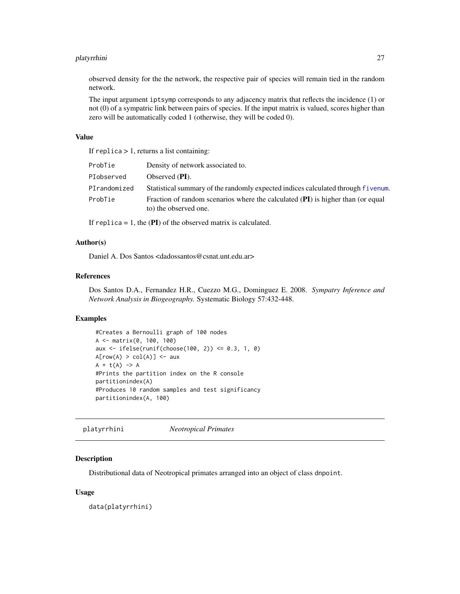#### <span id="page-26-0"></span>platyrrhini 27

observed density for the the network, the respective pair of species will remain tied in the random network.

The input argument iptsymp corresponds to any adjacency matrix that reflects the incidence (1) or not (0) of a sympatric link between pairs of species. If the input matrix is valued, scores higher than zero will be automatically coded 1 (otherwise, they will be coded 0).

## Value

If replica  $> 1$ , returns a list containing:

| ProbTie      | Density of network associated to.                                                                        |
|--------------|----------------------------------------------------------------------------------------------------------|
| PIobserved   | Observed $(PI)$ .                                                                                        |
| PIrandomized | Statistical summary of the randomly expected indices calculated through fivenum.                         |
| ProbTie      | Fraction of random scenarios where the calculated (PI) is higher than (or equal<br>to) the observed one. |

If replica  $= 1$ , the (PI) of the observed matrix is calculated.

## Author(s)

Daniel A. Dos Santos <dadossantos@csnat.unt.edu.ar>

## References

Dos Santos D.A., Fernandez H.R., Cuezzo M.G., Dominguez E. 2008. *Sympatry Inference and Network Analysis in Biogeography.* Systematic Biology 57:432-448.

## Examples

```
#Creates a Bernoulli graph of 100 nodes
A <- matrix(0, 100, 100)
aux <- ifelse(runif(choose(100, 2)) <= 0.3, 1, 0)
A[row(A) > col(A)] \leftarrow auxA + t(A) \rightarrow A#Prints the partition index on the R console
partitionindex(A)
#Produces 10 random samples and test significancy
partitionindex(A, 100)
```
platyrrhini *Neotropical Primates*

## Description

Distributional data of Neotropical primates arranged into an object of class dnpoint.

#### Usage

data(platyrrhini)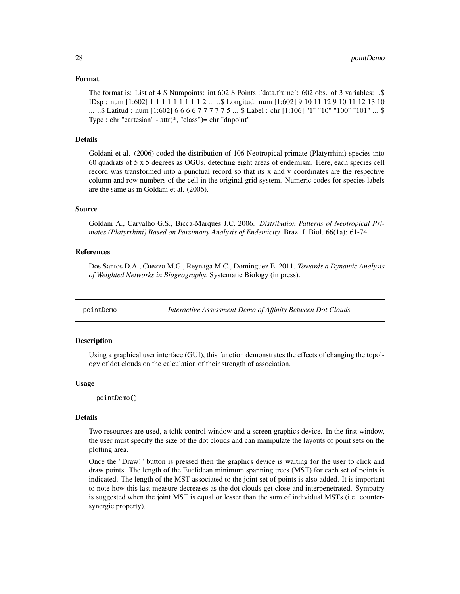## <span id="page-27-0"></span>Format

The format is: List of 4 \$ Numpoints: int 602 \$ Points :'data.frame': 602 obs. of 3 variables: ..\$ IDsp : num [1:602] 1 1 1 1 1 1 1 1 1 2 ... ..\$ Longitud: num [1:602] 9 10 11 12 9 10 11 12 13 10 ... ..\$ Latitud : num [1:602] 6 6 6 6 7 7 7 7 7 5 ... \$ Label : chr [1:106] "1" "10" "100" "101" ... \$ Type : chr "cartesian" - attr(\*, "class")= chr "dnpoint"

## Details

Goldani et al. (2006) coded the distribution of 106 Neotropical primate (Platyrrhini) species into 60 quadrats of 5 x 5 degrees as OGUs, detecting eight areas of endemism. Here, each species cell record was transformed into a punctual record so that its x and y coordinates are the respective column and row numbers of the cell in the original grid system. Numeric codes for species labels are the same as in Goldani et al. (2006).

## Source

Goldani A., Carvalho G.S., Bicca-Marques J.C. 2006. *Distribution Patterns of Neotropical Primates (Platyrrhini) Based on Parsimony Analysis of Endemicity.* Braz. J. Biol. 66(1a): 61-74.

## References

Dos Santos D.A., Cuezzo M.G., Reynaga M.C., Dominguez E. 2011. *Towards a Dynamic Analysis of Weighted Networks in Biogeography.* Systematic Biology (in press).

pointDemo *Interactive Assessment Demo of Affinity Between Dot Clouds*

#### **Description**

Using a graphical user interface (GUI), this function demonstrates the effects of changing the topology of dot clouds on the calculation of their strength of association.

## Usage

pointDemo()

#### Details

Two resources are used, a tcltk control window and a screen graphics device. In the first window, the user must specify the size of the dot clouds and can manipulate the layouts of point sets on the plotting area.

Once the "Draw!" button is pressed then the graphics device is waiting for the user to click and draw points. The length of the Euclidean minimum spanning trees (MST) for each set of points is indicated. The length of the MST associated to the joint set of points is also added. It is important to note how this last measure decreases as the dot clouds get close and interpenetrated. Sympatry is suggested when the joint MST is equal or lesser than the sum of individual MSTs (i.e. countersynergic property).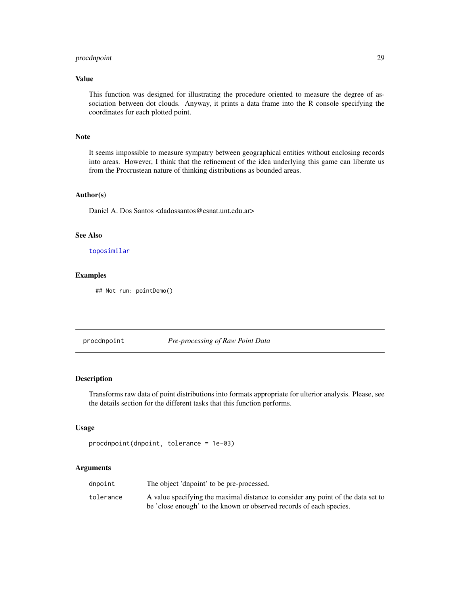## <span id="page-28-0"></span>procdnpoint 29

## Value

This function was designed for illustrating the procedure oriented to measure the degree of association between dot clouds. Anyway, it prints a data frame into the R console specifying the coordinates for each plotted point.

## Note

It seems impossible to measure sympatry between geographical entities without enclosing records into areas. However, I think that the refinement of the idea underlying this game can liberate us from the Procrustean nature of thinking distributions as bounded areas.

## Author(s)

Daniel A. Dos Santos <dadossantos@csnat.unt.edu.ar>

## See Also

[toposimilar](#page-36-1)

## Examples

## Not run: pointDemo()

<span id="page-28-1"></span>procdnpoint *Pre-processing of Raw Point Data*

#### Description

Transforms raw data of point distributions into formats appropriate for ulterior analysis. Please, see the details section for the different tasks that this function performs.

#### Usage

```
procdnpoint(dnpoint, tolerance = 1e-03)
```
## Arguments

| dnpoint   | The object 'dnpoint' to be pre-processed.                                        |
|-----------|----------------------------------------------------------------------------------|
| tolerance | A value specifying the maximal distance to consider any point of the data set to |
|           | be 'close enough' to the known or observed records of each species.              |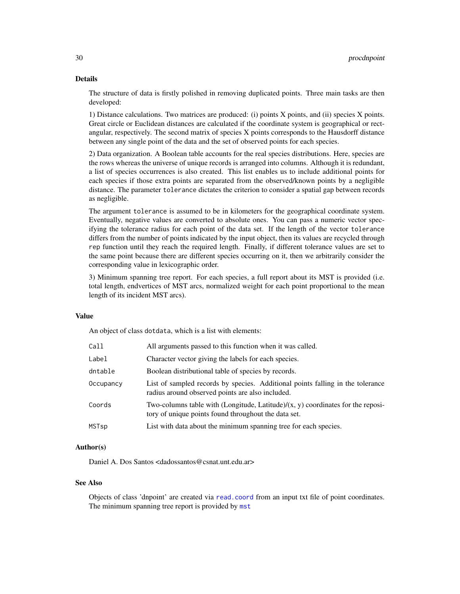## <span id="page-29-0"></span>Details

The structure of data is firstly polished in removing duplicated points. Three main tasks are then developed:

1) Distance calculations. Two matrices are produced: (i) points X points, and (ii) species X points. Great circle or Euclidean distances are calculated if the coordinate system is geographical or rectangular, respectively. The second matrix of species X points corresponds to the Hausdorff distance between any single point of the data and the set of observed points for each species.

2) Data organization. A Boolean table accounts for the real species distributions. Here, species are the rows whereas the universe of unique records is arranged into columns. Although it is redundant, a list of species occurrences is also created. This list enables us to include additional points for each species if those extra points are separated from the observed/known points by a negligible distance. The parameter tolerance dictates the criterion to consider a spatial gap between records as negligible.

The argument tolerance is assumed to be in kilometers for the geographical coordinate system. Eventually, negative values are converted to absolute ones. You can pass a numeric vector specifying the tolerance radius for each point of the data set. If the length of the vector tolerance differs from the number of points indicated by the input object, then its values are recycled through rep function until they reach the required length. Finally, if different tolerance values are set to the same point because there are different species occurring on it, then we arbitrarily consider the corresponding value in lexicographic order.

3) Minimum spanning tree report. For each species, a full report about its MST is provided (i.e. total length, endvertices of MST arcs, normalized weight for each point proportional to the mean length of its incident MST arcs).

#### Value

An object of class dotdata, which is a list with elements:

| Call      | All arguments passed to this function when it was called.                                                                                  |
|-----------|--------------------------------------------------------------------------------------------------------------------------------------------|
| Label     | Character vector giving the labels for each species.                                                                                       |
| dntable   | Boolean distributional table of species by records.                                                                                        |
| Occupancy | List of sampled records by species. Additional points falling in the tolerance<br>radius around observed points are also included.         |
| Coords    | Two-columns table with (Longitude, Latitude)/ $(x, y)$ coordinates for the reposi-<br>tory of unique points found throughout the data set. |
| MSTsp     | List with data about the minimum spanning tree for each species.                                                                           |
|           |                                                                                                                                            |

## Author(s)

Daniel A. Dos Santos <dadossantos@csnat.unt.edu.ar>

## See Also

Objects of class 'dnpoint' are created via [read.coord](#page-30-1) from an input txt file of point coordinates. The minimum spanning tree report is provided by [mst](#page-16-1)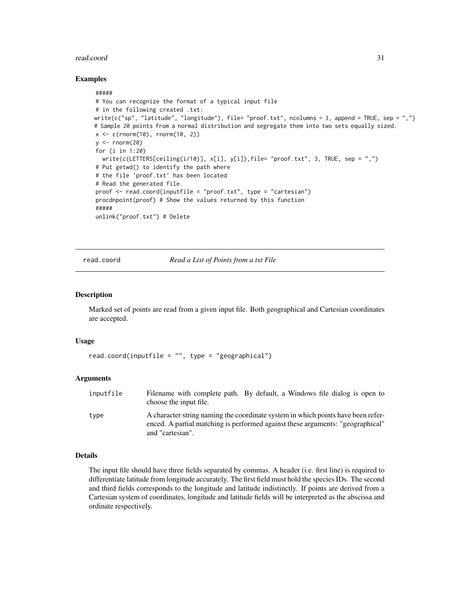#### <span id="page-30-0"></span>read.coord 31

## Examples

```
#####
# You can recognize the format of a typical input file
# in the following created .txt:
write(c("sp", "latitude", "longitude"), file= "proof.txt", ncolumns = 3, append = TRUE, sep = ",")
# Sample 20 points from a normal distribution and segregate them into two sets equally sized.
x < -c (rnorm(10), rnorm(10, 2))
y \le - rnorm(20)for (i in 1:20)
  write(c(LETTERS[ceiling(i/10)], x[i], y[i], file='proof.txt", 3, TRUE, sep = ",")
# Put getwd() to identify the path where
# the file 'proof.txt' has been located
# Read the generated file.
proof <- read.coord(inputfile = "proof.txt", type = "cartesian")
procdnpoint(proof) # Show the values returned by this function
#####
unlink("proof.txt") # Delete
```
<span id="page-30-1"></span>read.coord *Read a List of Points from a txt File*

#### **Description**

Marked set of points are read from a given input file. Both geographical and Cartesian coordinates are accepted.

#### Usage

```
read.cord(inputfile = "", type = "geographical")
```
## Arguments

| inputfile | Filename with complete path. By default, a Windows file dialog is open to<br>choose the input file.                                                                                    |
|-----------|----------------------------------------------------------------------------------------------------------------------------------------------------------------------------------------|
| type      | A character string naming the coordinate system in which points have been refer-<br>enced. A partial matching is performed against these arguments: "geographical"<br>and "cartesian". |

## Details

The input file should have three fields separated by commas. A header (i.e. first line) is required to differentiate latitude from longitude accurately. The first field must hold the species IDs. The second and third fields corresponds to the longitude and latitude indistinctly. If points are derived from a Cartesian system of coordinates, longitude and latitude fields will be interpreted as the abscissa and ordinate respectively.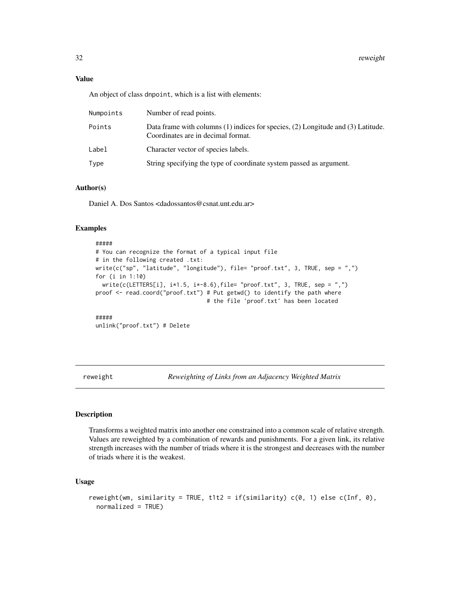## <span id="page-31-0"></span>Value

An object of class dnpoint, which is a list with elements:

| Numpoints | Number of read points.                                                                                                 |
|-----------|------------------------------------------------------------------------------------------------------------------------|
| Points    | Data frame with columns (1) indices for species, (2) Longitude and (3) Latitude.<br>Coordinates are in decimal format. |
| Label     | Character vector of species labels.                                                                                    |
| Type      | String specifying the type of coordinate system passed as argument.                                                    |

## Author(s)

Daniel A. Dos Santos <dadossantos@csnat.unt.edu.ar>

## Examples

```
#####
# You can recognize the format of a typical input file
# in the following created .txt:
write(c("sp", "latitude", "longitude"), file= "proof.txt", 3, TRUE, sep = ",")
for (i in 1:10)
 write(c(LETTERS[i], i*1.5, i*-8.6), file='proof.txt", 3, TRUE, sep = ",")proof <- read.coord("proof.txt") # Put getwd() to identify the path where
                                 # the file 'proof.txt' has been located
#####
```
unlink("proof.txt") # Delete

reweight *Reweighting of Links from an Adjacency Weighted Matrix*

## Description

Transforms a weighted matrix into another one constrained into a common scale of relative strength. Values are reweighted by a combination of rewards and punishments. For a given link, its relative strength increases with the number of triads where it is the strongest and decreases with the number of triads where it is the weakest.

## Usage

```
reweight(wm, similarity = TRUE, t1t2 = if(similarity) c(\theta, 1) else c(Inf, \theta),
  normalized = TRUE)
```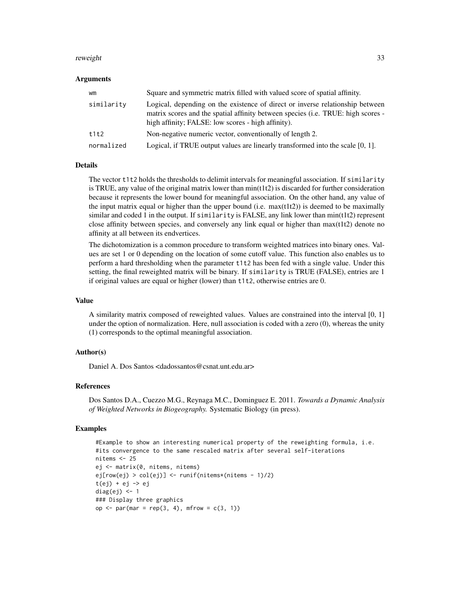#### reweight 33

#### Arguments

| wm         | Square and symmetric matrix filled with valued score of spatial affinity.                                                                                                                                               |
|------------|-------------------------------------------------------------------------------------------------------------------------------------------------------------------------------------------------------------------------|
| similarity | Logical, depending on the existence of direct or inverse relationship between<br>matrix scores and the spatial affinity between species (i.e. TRUE: high scores -<br>high affinity; FALSE: low scores - high affinity). |
| t1t2       | Non-negative numeric vector, conventionally of length 2.                                                                                                                                                                |
| normalized | Logical, if TRUE output values are linearly transformed into the scale $[0, 1]$ .                                                                                                                                       |

## **Details**

The vector t1t2 holds the thresholds to delimit intervals for meaningful association. If similarity is TRUE, any value of the original matrix lower than min(t1t2) is discarded for further consideration because it represents the lower bound for meaningful association. On the other hand, any value of the input matrix equal or higher than the upper bound (i.e.  $max(t1t2)$ ) is deemed to be maximally similar and coded 1 in the output. If similarity is FALSE, any link lower than  $min(t1t2)$  represent close affinity between species, and conversely any link equal or higher than max(t1t2) denote no affinity at all between its endvertices.

The dichotomization is a common procedure to transform weighted matrices into binary ones. Values are set 1 or 0 depending on the location of some cutoff value. This function also enables us to perform a hard thresholding when the parameter t1t2 has been fed with a single value. Under this setting, the final reweighted matrix will be binary. If similarity is TRUE (FALSE), entries are 1 if original values are equal or higher (lower) than t1t2, otherwise entries are 0.

## Value

A similarity matrix composed of reweighted values. Values are constrained into the interval [0, 1] under the option of normalization. Here, null association is coded with a zero (0), whereas the unity (1) corresponds to the optimal meaningful association.

## Author(s)

Daniel A. Dos Santos <dadossantos@csnat.unt.edu.ar>

## References

Dos Santos D.A., Cuezzo M.G., Reynaga M.C., Dominguez E. 2011. *Towards a Dynamic Analysis of Weighted Networks in Biogeography.* Systematic Biology (in press).

```
#Example to show an interesting numerical property of the reweighting formula, i.e.
#its convergence to the same rescaled matrix after several self-iterations
nitems <- 25
ej <- matrix(0, nitems, nitems)
ej[row(ej) > col(ej)] <- runif(nitems*(nitems - 1)/2)
t(ej) + ej \rightarrow ejdiag(ej) <- 1
### Display three graphics
op <- par(mar = rep(3, 4), mfrow = c(3, 1))
```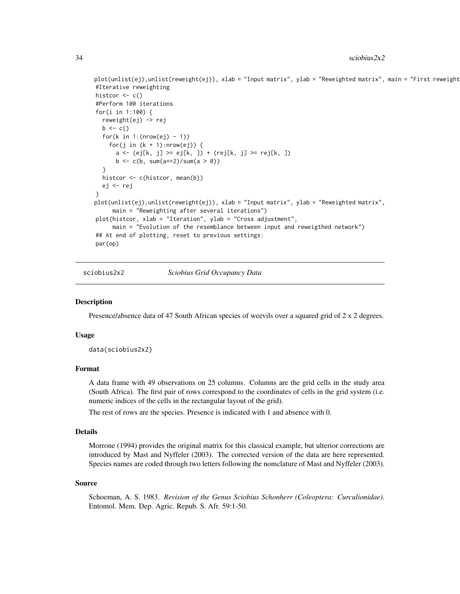```
plot(unlist(ej),unlist(reweight(ej)), xlab = "Input matrix", ylab = "Reweighted matrix", main = "First reweight
#Iterative reweighting
histcor <- c()
#Perform 100 iterations
for(i in 1:100) {
  reweight(ej) -> rej
  b \leftarrow c()for(k in 1:(nrow(ej) - 1))
    for(j in (k + 1):nrow(ej)) {
      a \leftarrow (ej[k, j] \ge eig[k, j] + (rej[k, j] \ge rej[k, j])b \leq c(b, sum(a == 2)/sum(a > 0))}
  histcor <- c(histcor, mean(b))
  ej <- rej
}
plot(unlist(ej),unlist(reweight(ej)), xlab = "Input matrix", ylab = "Reweighted matrix",
     main = "Reweighting after several iterations")
plot(histcor, xlab = "Iteration", ylab = "Cross adjustment",
     main = "Evolution of the resemblance between input and reweigthed network")
## At end of plotting, reset to previous settings:
par(op)
```
sciobius2x2 *Sciobius Grid Occupancy Data*

#### **Description**

Presence/absence data of 47 South African species of weevils over a squared grid of 2 x 2 degrees.

## Usage

data(sciobius2x2)

## Format

A data frame with 49 observations on 25 columns. Columns are the grid cells in the study area (South Africa). The first pair of rows correspond to the coordinates of cells in the grid system (i.e. numeric indices of the cells in the rectangular layout of the grid).

The rest of rows are the species. Presence is indicated with 1 and absence with 0.

#### Details

Morrone (1994) provides the original matrix for this classical example, but ulterior corrections are introduced by Mast and Nyffeler (2003). The corrected version of the data are here represented. Species names are coded through two letters following the nomclature of Mast and Nyffeler (2003).

## Source

Schoeman, A. S. 1983. *Revision of the Genus Sciobius Schonherr (Coleoptera: Curculionidae).* Entomol. Mem. Dep. Agric. Repub. S. Afr. 59:1-50.

<span id="page-33-0"></span>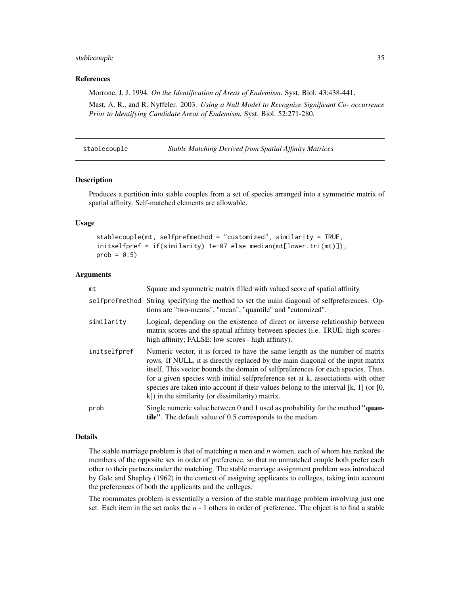#### <span id="page-34-0"></span>stablecouple 35

## References

Morrone, J. J. 1994. *On the Identification of Areas of Endemism.* Syst. Biol. 43:438-441.

Mast, A. R., and R. Nyffeler. 2003. *Using a Null Model to Recognize Significant Co- occurrence Prior to Identifying Candidate Areas of Endemism.* Syst. Biol. 52:271-280.

<span id="page-34-1"></span>stablecouple *Stable Matching Derived from Spatial Affinity Matrices*

#### Description

Produces a partition into stable couples from a set of species arranged into a symmetric matrix of spatial affinity. Self-matched elements are allowable.

## Usage

```
stablecouple(mt, selfprefmethod = "customized", similarity = TRUE,
initselfpref = if(similarity) 1e-07 else median(mt[lower.tri(mt)]),
prob = 0.5)
```
#### Arguments

| mt           | Square and symmetric matrix filled with valued score of spatial affinity.                                                                                                                                                                                                                                                                                                                                                                                                            |
|--------------|--------------------------------------------------------------------------------------------------------------------------------------------------------------------------------------------------------------------------------------------------------------------------------------------------------------------------------------------------------------------------------------------------------------------------------------------------------------------------------------|
|              | selfprefmethod String specifying the method to set the main diagonal of selfpreferences. Op-<br>tions are "two-means", "mean", "quantile" and "cutomized".                                                                                                                                                                                                                                                                                                                           |
| similarity   | Logical, depending on the existence of direct or inverse relationship between<br>matrix scores and the spatial affinity between species (i.e. TRUE: high scores -<br>high affinity; FALSE: low scores - high affinity).                                                                                                                                                                                                                                                              |
| initselfpref | Numeric vector, it is forced to have the same length as the number of matrix<br>rows. If NULL, it is directly replaced by the main diagonal of the input matrix<br>itself. This vector bounds the domain of selfpreferences for each species. Thus,<br>for a given species with initial selfpreference set at k, associations with other<br>species are taken into account if their values belong to the interval [k, 1] (or [0,<br>k]) in the similarity (or dissimilarity) matrix. |
| prob         | Single numeric value between 0 and 1 used as probability for the method "quan-<br><b>tile''</b> . The default value of 0.5 corresponds to the median.                                                                                                                                                                                                                                                                                                                                |

## Details

The stable marriage problem is that of matching *n* men and *n* women, each of whom has ranked the members of the opposite sex in order of preference, so that no unmatched couple both prefer each other to their partners under the matching. The stable marriage assignment problem was introduced by Gale and Shapley (1962) in the context of assigning applicants to colleges, taking into account the preferences of both the applicants and the colleges.

The roommates problem is essentially a version of the stable marriage problem involving just one set. Each item in the set ranks the *n* - 1 others in order of preference. The object is to find a stable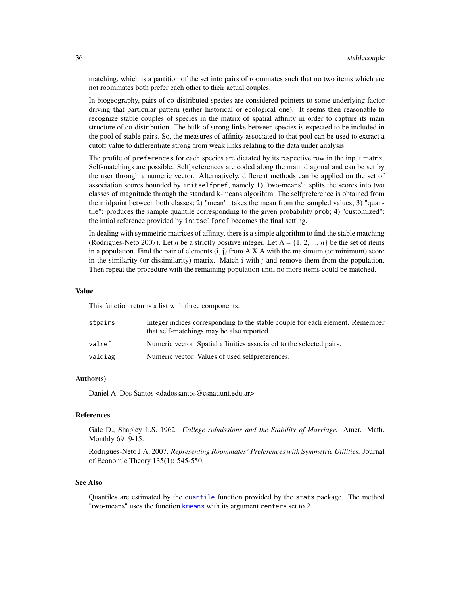<span id="page-35-0"></span>matching, which is a partition of the set into pairs of roommates such that no two items which are not roommates both prefer each other to their actual couples.

In biogeography, pairs of co-distributed species are considered pointers to some underlying factor driving that particular pattern (either historical or ecological one). It seems then reasonable to recognize stable couples of species in the matrix of spatial affinity in order to capture its main structure of co-distribution. The bulk of strong links between species is expected to be included in the pool of stable pairs. So, the measures of affinity associated to that pool can be used to extract a cutoff value to differentiate strong from weak links relating to the data under analysis.

The profile of preferences for each species are dictated by its respective row in the input matrix. Self-matchings are possible. Selfpreferences are coded along the main diagonal and can be set by the user through a numeric vector. Alternatively, different methods can be applied on the set of association scores bounded by initselfpref, namely 1) "two-means": splits the scores into two classes of magnitude through the standard k-means algorihtm. The selfpreference is obtained from the midpoint between both classes; 2) "mean": takes the mean from the sampled values; 3) "quantile": produces the sample quantile corresponding to the given probability prob; 4) "customized": the intial reference provided by initselfpref becomes the final setting.

In dealing with symmetric matrices of affinity, there is a simple algorithm to find the stable matching (Rodrigues-Neto 2007). Let *n* be a strictly positive integer. Let  $A = \{1, 2, ..., n\}$  be the set of items in a population. Find the pair of elements  $(i, j)$  from A X A with the maximum (or minimum) score in the similarity (or dissimilarity) matrix. Match i with j and remove them from the population. Then repeat the procedure with the remaining population until no more items could be matched.

#### Value

This function returns a list with three components:

| stpairs | Integer indices corresponding to the stable couple for each element. Remember<br>that self-matchings may be also reported. |
|---------|----------------------------------------------------------------------------------------------------------------------------|
| valref  | Numeric vector. Spatial affinities associated to the selected pairs.                                                       |
| valdiag | Numeric vector. Values of used selfpreferences.                                                                            |

## Author(s)

Daniel A. Dos Santos <dadossantos@csnat.unt.edu.ar>

## References

Gale D., Shapley L.S. 1962. *College Admissions and the Stability of Marriage.* Amer. Math. Monthly 69: 9-15.

Rodrigues-Neto J.A. 2007. *Representing Roommates' Preferences with Symmetric Utilities.* Journal of Economic Theory 135(1): 545-550.

## See Also

Quantiles are estimated by the [quantile](#page-0-0) function provided by the stats package. The method "two-means" uses the function [kmeans](#page-0-0) with its argument centers set to 2.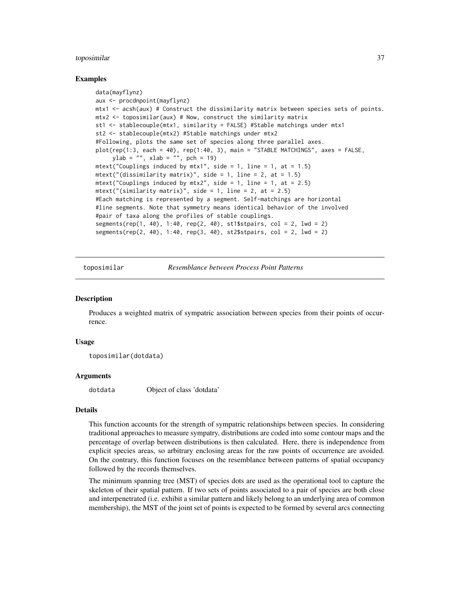## <span id="page-36-0"></span>toposimilar 37

#### Examples

```
data(mayflynz)
aux <- procdnpoint(mayflynz)
mtx1 <- acsh(aux) # Construct the dissimilarity matrix between species sets of points.
mtx2 <- toposimilar(aux) # Now, construct the similarity matrix
st1 <- stablecouple(mtx1, similarity = FALSE) #Stable matchings under mtx1
st2 <- stablecouple(mtx2) #Stable matchings under mtx2
#Following, plots the same set of species along three parallel axes.
plot(rep(1:3, each = 40), rep(1:40, 3), main = "STABLE MATCHINGS", axes = FALSE,
     ylab = "", xlab = "", pch = 19)mtext("Couplings induced by mtx1", side = 1, line = 1, at = 1.5)
mtext("(dissimilarity matrix)", side = 1, line = 2, at = 1.5)
mtext("Couplings induced by mtx2", side = 1, line = 1, at = 2.5)
mtext("(similarity matrix)", side = 1, line = 2, at = 2.5)
#Each matching is represented by a segment. Self-matchings are horizontal
#line segments. Note that symmetry means identical behavior of the involved
#pair of taxa along the profiles of stable couplings.
segments(rep(1, 40), 1:40, rep(2, 40), st1$stpairs, col = 2, lwd = 2)
segments(rep(2, 40), 1:40, rep(3, 40), st2$stpairs, col = 2, lwd = 2)
```
<span id="page-36-1"></span>toposimilar *Resemblance between Process Point Patterns*

#### **Description**

Produces a weighted matrix of sympatric association between species from their points of occurrence.

#### Usage

toposimilar(dotdata)

#### Arguments

dotdata Object of class 'dotdata'

#### Details

This function accounts for the strength of sympatric relationships between species. In considering traditional approaches to measure sympatry, distributions are coded into some contour maps and the percentage of overlap between distributions is then calculated. Here, there is independence from explicit species areas, so arbitrary enclosing areas for the raw points of occurrence are avoided. On the contrary, this function focuses on the resemblance between patterns of spatial occupancy followed by the records themselves.

The minimum spanning tree (MST) of species dots are used as the operational tool to capture the skeleton of their spatial pattern. If two sets of points associated to a pair of species are both close and interpenetrated (i.e. exhibit a similar pattern and likely belong to an underlying area of common membership), the MST of the joint set of points is expected to be formed by several arcs connecting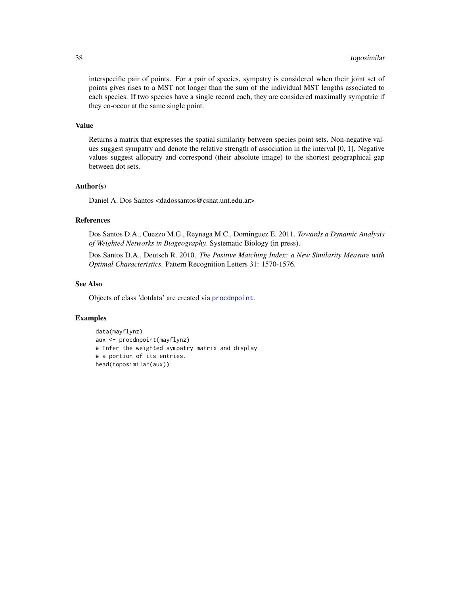interspecific pair of points. For a pair of species, sympatry is considered when their joint set of points gives rises to a MST not longer than the sum of the individual MST lengths associated to each species. If two species have a single record each, they are considered maximally sympatric if they co-occur at the same single point.

## Value

Returns a matrix that expresses the spatial similarity between species point sets. Non-negative values suggest sympatry and denote the relative strength of association in the interval [0, 1]. Negative values suggest allopatry and correspond (their absolute image) to the shortest geographical gap between dot sets.

## Author(s)

Daniel A. Dos Santos <dadossantos@csnat.unt.edu.ar>

## References

Dos Santos D.A., Cuezzo M.G., Reynaga M.C., Dominguez E. 2011. *Towards a Dynamic Analysis of Weighted Networks in Biogeography.* Systematic Biology (in press).

Dos Santos D.A., Deutsch R. 2010. *The Positive Matching Index: a New Similarity Measure with Optimal Characteristics.* Pattern Recognition Letters 31: 1570-1576.

## See Also

Objects of class 'dotdata' are created via [procdnpoint](#page-28-1).

```
data(mayflynz)
aux <- procdnpoint(mayflynz)
# Infer the weighted sympatry matrix and display
# a portion of its entries.
head(toposimilar(aux))
```
<span id="page-37-0"></span>